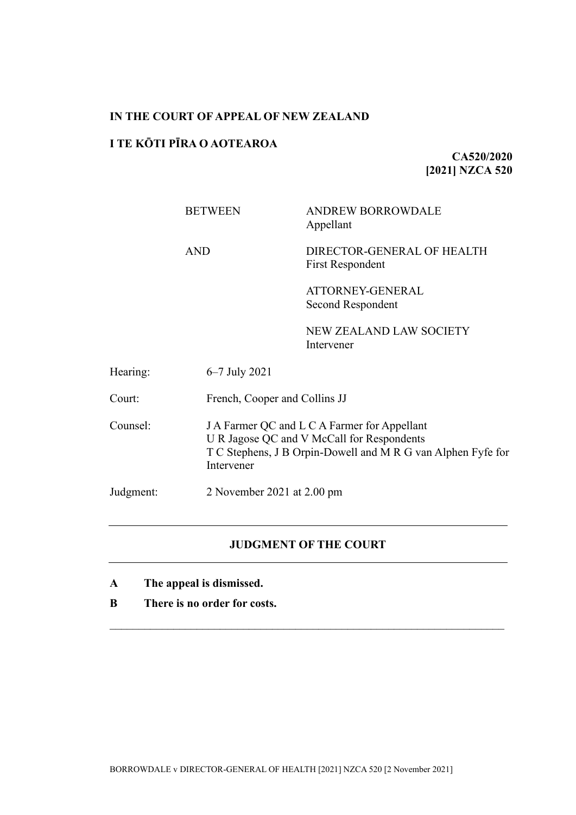# **IN THE COURT OF APPEAL OF NEW ZEALAND**

# **I TE KŌTI PĪRA O AOTEAROA**

**CA520/2020 [2021] NZCA 520**

|           | <b>BETWEEN</b> | <b>ANDREW BORROWDALE</b><br>Appellant                                                                                                                      |  |
|-----------|----------------|------------------------------------------------------------------------------------------------------------------------------------------------------------|--|
|           | <b>AND</b>     | DIRECTOR-GENERAL OF HEALTH<br><b>First Respondent</b>                                                                                                      |  |
|           |                | ATTORNEY-GENERAL<br>Second Respondent                                                                                                                      |  |
|           |                | <b>NEW ZEALAND LAW SOCIETY</b><br>Intervener                                                                                                               |  |
| Hearing:  | 6–7 July 2021  |                                                                                                                                                            |  |
| Court:    |                | French, Cooper and Collins JJ                                                                                                                              |  |
| Counsel:  | Intervener     | J A Farmer QC and L C A Farmer for Appellant<br>U R Jagose QC and V McCall for Respondents<br>T C Stephens, J B Orpin-Dowell and M R G van Alphen Fyfe for |  |
| Judgment: |                | 2 November 2021 at $2.00 \text{ pm}$                                                                                                                       |  |

# **JUDGMENT OF THE COURT**

- **A The appeal is dismissed.**
- **B There is no order for costs.**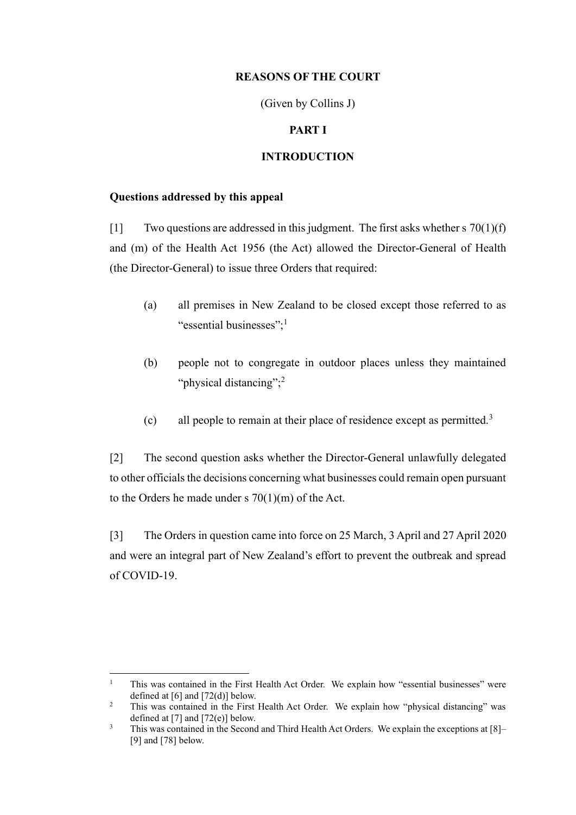# **REASONS OF THE COURT**

(Given by Collins J)

## **PART I**

# **INTRODUCTION**

# **Questions addressed by this appeal**

[1] Two questions are addressed in this judgment. The first asks whether s  $70(1)(f)$ and (m) of the Health Act 1956 (the Act) allowed the Director-General of Health (the Director-General) to issue three Orders that required:

- (a) all premises in New Zealand to be closed except those referred to as "essential businesses": $<sup>1</sup>$ </sup>
- (b) people not to congregate in outdoor places unless they maintained "physical distancing";<sup>2</sup>
- (c) all people to remain at their place of residence except as permitted.<sup>3</sup>

[2] The second question asks whether the Director-General unlawfully delegated to other officials the decisions concerning what businesses could remain open pursuant to the Orders he made under s  $70(1)(m)$  of the Act.

[3] The Orders in question came into force on 25 March, 3 April and 27 April 2020 and were an integral part of New Zealand's effort to prevent the outbreak and spread of COVID-19.

<sup>1</sup> This was contained in the First Health Act Order. We explain how "essential businesses" were defined at  $[6]$  and  $[72(d)]$  below.

<sup>&</sup>lt;sup>2</sup> This was contained in the First Health Act Order. We explain how "physical distancing" was defined at [7] and [72(e)] below.

<sup>&</sup>lt;sup>3</sup> This was contained in the Second and Third Health Act Orders. We explain the exceptions at [8]– [9] and [78] below.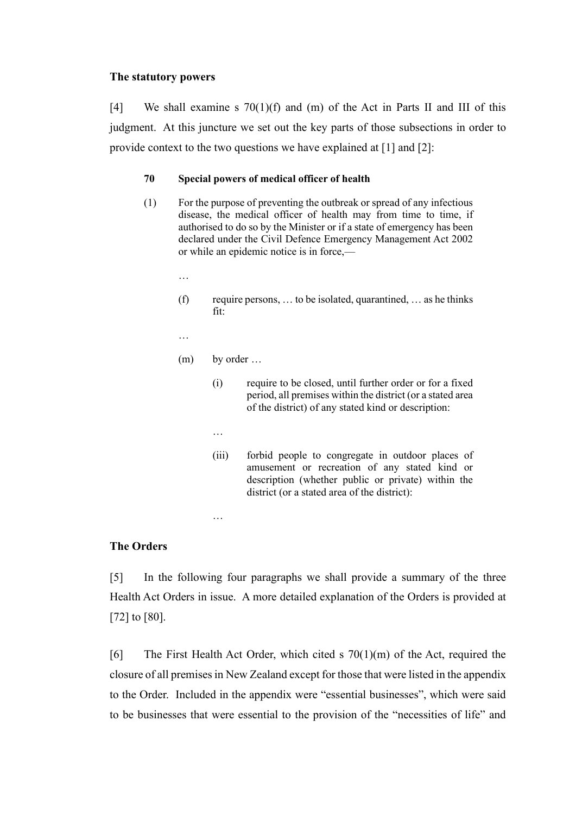#### **The statutory powers**

[4] We shall examine s  $70(1)(f)$  and (m) of the Act in Parts II and III of this judgment. At this juncture we set out the key parts of those subsections in order to provide context to the two questions we have explained at [1] and [2]:

### **70 Special powers of medical officer of health**

- (1) For the purpose of preventing the outbreak or spread of any infectious disease, the medical officer of health may from time to time, if authorised to do so by the Minister or if a state of emergency has been declared under the Civil Defence Emergency Management Act 2002 or while an epidemic notice is in force,—
	- …

…

- $(f)$  require persons, ... to be isolated, quarantined, ... as he thinks fit:
- (m) by order …

…

…

- (i) require to be closed, until further order or for a fixed period, all premises within the district (or a stated area of the district) of any stated kind or description:
- (iii) forbid people to congregate in outdoor places of amusement or recreation of any stated kind or description (whether public or private) within the district (or a stated area of the district):

# **The Orders**

[5] In the following four paragraphs we shall provide a summary of the three Health Act Orders in issue. A more detailed explanation of the Orders is provided at [72] to [80].

[6] The First Health Act Order, which cited s  $70(1)(m)$  of the Act, required the closure of all premises in New Zealand except for those that were listed in the appendix to the Order. Included in the appendix were "essential businesses", which were said to be businesses that were essential to the provision of the "necessities of life" and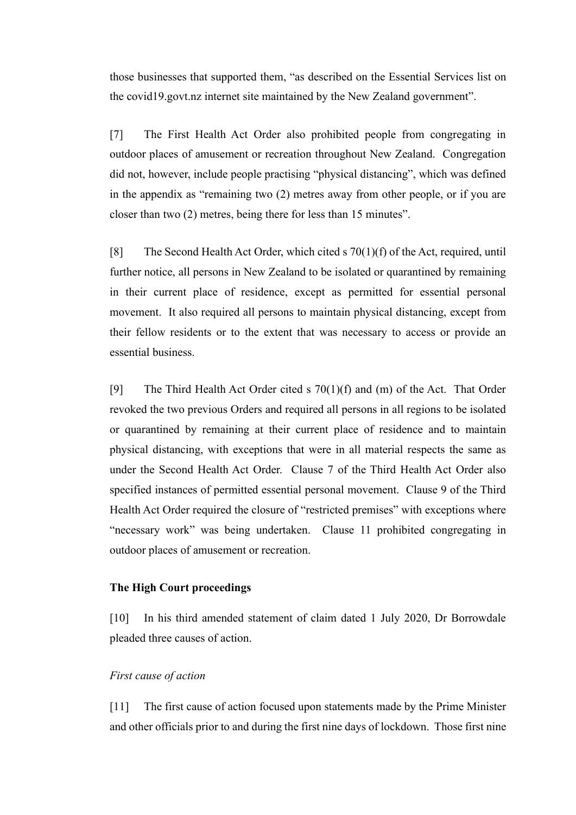those businesses that supported them, "as described on the Essential Services list on the covid19.govt.nz internet site maintained by the New Zealand government".

[7] The First Health Act Order also prohibited people from congregating in outdoor places of amusement or recreation throughout New Zealand. Congregation did not, however, include people practising "physical distancing", which was defined in the appendix as "remaining two (2) metres away from other people, or if you are closer than two (2) metres, being there for less than 15 minutes".

[8] The Second Health Act Order, which cited s 70(1)(f) of the Act, required, until further notice, all persons in New Zealand to be isolated or quarantined by remaining in their current place of residence, except as permitted for essential personal movement. It also required all persons to maintain physical distancing, except from their fellow residents or to the extent that was necessary to access or provide an essential business.

[9] The Third Health Act Order cited s  $70(1)(f)$  and (m) of the Act. That Order revoked the two previous Orders and required all persons in all regions to be isolated or quarantined by remaining at their current place of residence and to maintain physical distancing, with exceptions that were in all material respects the same as under the Second Health Act Order. Clause 7 of the Third Health Act Order also specified instances of permitted essential personal movement. Clause 9 of the Third Health Act Order required the closure of "restricted premises" with exceptions where "necessary work" was being undertaken. Clause 11 prohibited congregating in outdoor places of amusement or recreation.

# **The High Court proceedings**

[10] In his third amended statement of claim dated 1 July 2020, Dr Borrowdale pleaded three causes of action.

# *First cause of action*

[11] The first cause of action focused upon statements made by the Prime Minister and other officials prior to and during the first nine days of lockdown. Those first nine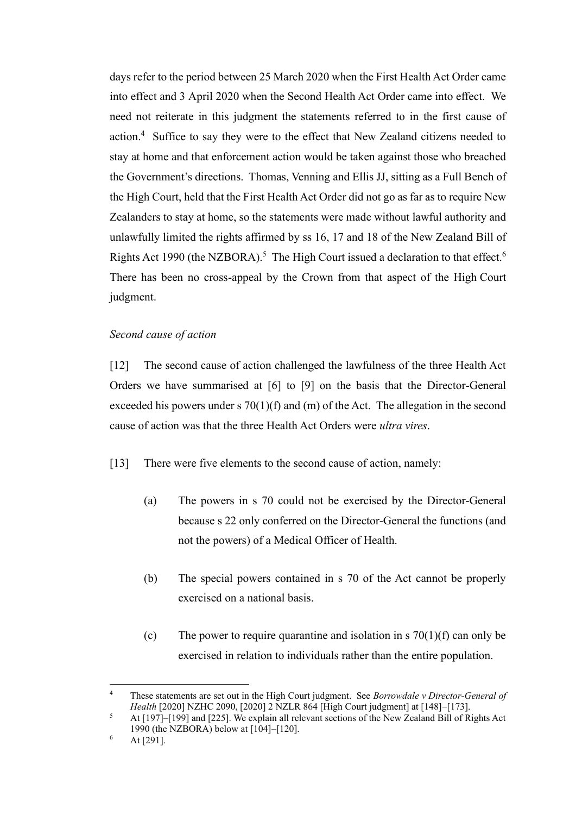days refer to the period between 25 March 2020 when the First Health Act Order came into effect and 3 April 2020 when the Second Health Act Order came into effect. We need not reiterate in this judgment the statements referred to in the first cause of action.<sup>4</sup> Suffice to say they were to the effect that New Zealand citizens needed to stay at home and that enforcement action would be taken against those who breached the Government's directions. Thomas, Venning and Ellis JJ, sitting as a Full Bench of the High Court, held that the First Health Act Order did not go as far as to require New Zealanders to stay at home, so the statements were made without lawful authority and unlawfully limited the rights affirmed by ss 16, 17 and 18 of the New Zealand Bill of Rights Act 1990 (the NZBORA).<sup>5</sup> The High Court issued a declaration to that effect.<sup>6</sup> There has been no cross-appeal by the Crown from that aspect of the High Court judgment.

# *Second cause of action*

[12] The second cause of action challenged the lawfulness of the three Health Act Orders we have summarised at [6] to [9] on the basis that the Director-General exceeded his powers under s  $70(1)(f)$  and  $(m)$  of the Act. The allegation in the second cause of action was that the three Health Act Orders were *ultra vires*.

[13] There were five elements to the second cause of action, namely:

- (a) The powers in s 70 could not be exercised by the Director-General because s 22 only conferred on the Director-General the functions (and not the powers) of a Medical Officer of Health.
- (b) The special powers contained in s 70 of the Act cannot be properly exercised on a national basis.
- (c) The power to require quarantine and isolation in s  $70(1)(f)$  can only be exercised in relation to individuals rather than the entire population.

<sup>4</sup> These statements are set out in the High Court judgment. See *Borrowdale v Director-General of Health* [2020] NZHC 2090, [2020] 2 NZLR 864 [High Court judgment] at [148]–[173].

<sup>5</sup> At [197]–[199] and [225]. We explain all relevant sections of the New Zealand Bill of Rights Act 1990 (the NZBORA) below at [104]–[120].

At [291].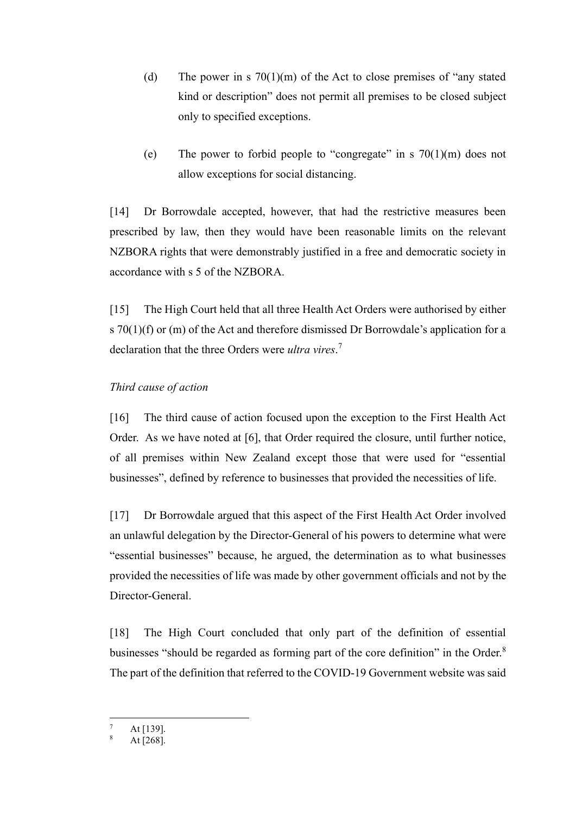- (d) The power in s  $70(1)(m)$  of the Act to close premises of "any stated" kind or description" does not permit all premises to be closed subject only to specified exceptions.
- (e) The power to forbid people to "congregate" in  $\frac{s}{10(1)(m)}$  does not allow exceptions for social distancing.

[14] Dr Borrowdale accepted, however, that had the restrictive measures been prescribed by law, then they would have been reasonable limits on the relevant NZBORA rights that were demonstrably justified in a free and democratic society in accordance with s 5 of the NZBORA.

[15] The High Court held that all three Health Act Orders were authorised by either s  $70(1)(f)$  or (m) of the Act and therefore dismissed Dr Borrowdale's application for a declaration that the three Orders were *ultra vires*. 7

# *Third cause of action*

[16] The third cause of action focused upon the exception to the First Health Act Order. As we have noted at [6], that Order required the closure, until further notice, of all premises within New Zealand except those that were used for "essential businesses", defined by reference to businesses that provided the necessities of life.

[17] Dr Borrowdale argued that this aspect of the First Health Act Order involved an unlawful delegation by the Director-General of his powers to determine what were "essential businesses" because, he argued, the determination as to what businesses provided the necessities of life was made by other government officials and not by the Director-General.

[18] The High Court concluded that only part of the definition of essential businesses "should be regarded as forming part of the core definition" in the Order.<sup>8</sup> The part of the definition that referred to the COVID-19 Government website was said

At [139].

At [268].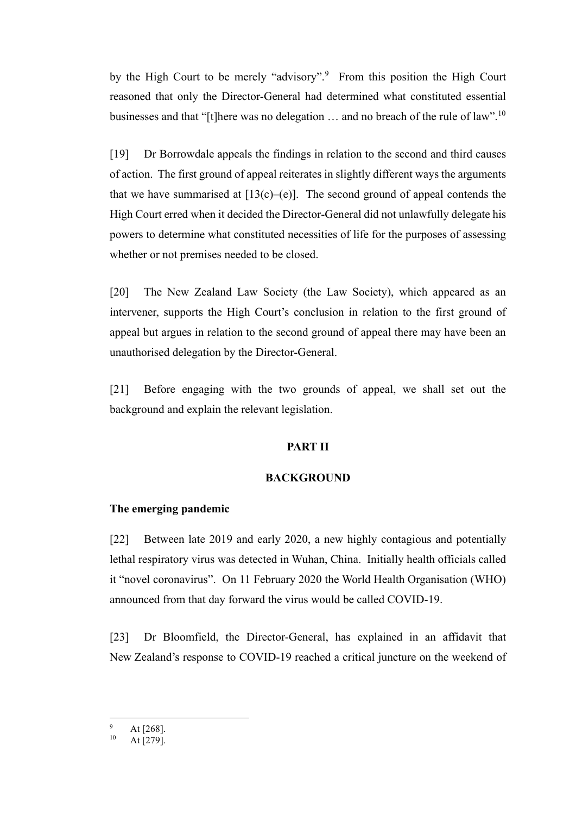by the High Court to be merely "advisory".<sup>9</sup> From this position the High Court reasoned that only the Director-General had determined what constituted essential businesses and that "[t]here was no delegation  $\ldots$  and no breach of the rule of law".<sup>10</sup>

[19] Dr Borrowdale appeals the findings in relation to the second and third causes of action. The first ground of appeal reiterates in slightly different ways the arguments that we have summarised at  $[13(c)-(e)]$ . The second ground of appeal contends the High Court erred when it decided the Director-General did not unlawfully delegate his powers to determine what constituted necessities of life for the purposes of assessing whether or not premises needed to be closed.

[20] The New Zealand Law Society (the Law Society), which appeared as an intervener, supports the High Court's conclusion in relation to the first ground of appeal but argues in relation to the second ground of appeal there may have been an unauthorised delegation by the Director-General.

[21] Before engaging with the two grounds of appeal, we shall set out the background and explain the relevant legislation.

#### **PART II**

#### **BACKGROUND**

#### **The emerging pandemic**

[22] Between late 2019 and early 2020, a new highly contagious and potentially lethal respiratory virus was detected in Wuhan, China. Initially health officials called it "novel coronavirus". On 11 February 2020 the World Health Organisation (WHO) announced from that day forward the virus would be called COVID-19.

[23] Dr Bloomfield, the Director-General, has explained in an affidavit that New Zealand's response to COVID-19 reached a critical juncture on the weekend of

 $^{9}$  At [268].

At [279].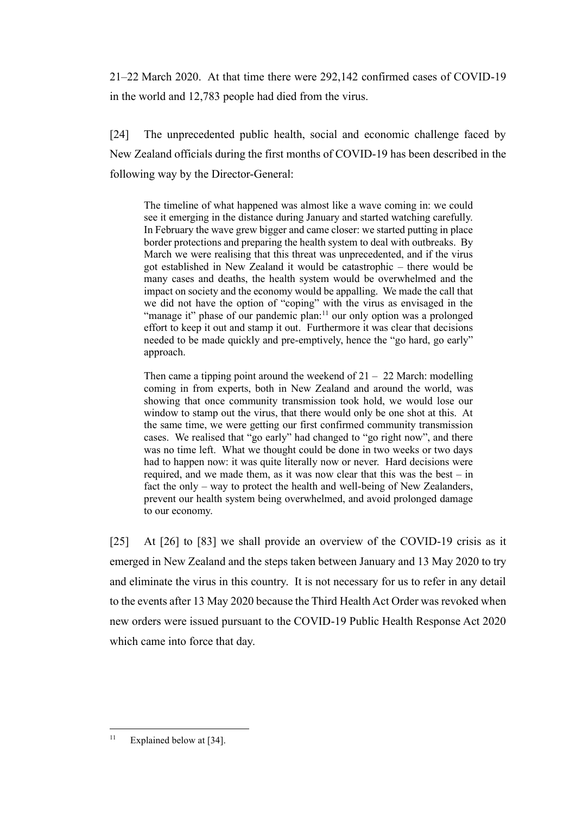21–22 March 2020. At that time there were 292,142 confirmed cases of COVID-19 in the world and 12,783 people had died from the virus.

[24] The unprecedented public health, social and economic challenge faced by New Zealand officials during the first months of COVID-19 has been described in the following way by the Director-General:

The timeline of what happened was almost like a wave coming in: we could see it emerging in the distance during January and started watching carefully. In February the wave grew bigger and came closer: we started putting in place border protections and preparing the health system to deal with outbreaks. By March we were realising that this threat was unprecedented, and if the virus got established in New Zealand it would be catastrophic – there would be many cases and deaths, the health system would be overwhelmed and the impact on society and the economy would be appalling. We made the call that we did not have the option of "coping" with the virus as envisaged in the "manage it" phase of our pandemic plan:<sup>11</sup> our only option was a prolonged effort to keep it out and stamp it out. Furthermore it was clear that decisions needed to be made quickly and pre-emptively, hence the "go hard, go early" approach.

Then came a tipping point around the weekend of  $21 - 22$  March: modelling coming in from experts, both in New Zealand and around the world, was showing that once community transmission took hold, we would lose our window to stamp out the virus, that there would only be one shot at this. At the same time, we were getting our first confirmed community transmission cases. We realised that "go early" had changed to "go right now", and there was no time left. What we thought could be done in two weeks or two days had to happen now: it was quite literally now or never. Hard decisions were required, and we made them, as it was now clear that this was the best – in fact the only – way to protect the health and well-being of New Zealanders, prevent our health system being overwhelmed, and avoid prolonged damage to our economy.

[25] At [26] to [83] we shall provide an overview of the COVID-19 crisis as it emerged in New Zealand and the steps taken between January and 13 May 2020 to try and eliminate the virus in this country. It is not necessary for us to refer in any detail to the events after 13 May 2020 because the Third Health Act Order was revoked when new orders were issued pursuant to the COVID-19 Public Health Response Act 2020 which came into force that day.

 $11$  Explained below at [34].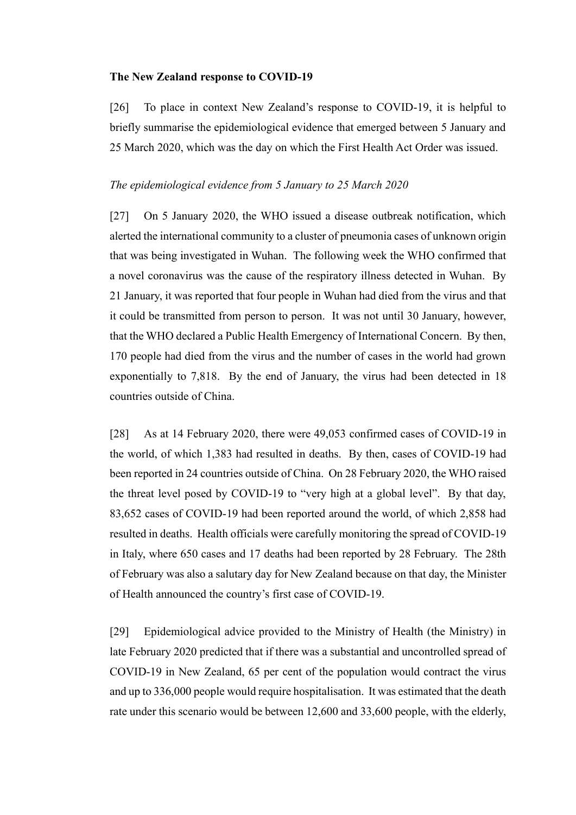#### **The New Zealand response to COVID-19**

[26] To place in context New Zealand's response to COVID-19, it is helpful to briefly summarise the epidemiological evidence that emerged between 5 January and 25 March 2020, which was the day on which the First Health Act Order was issued.

## *The epidemiological evidence from 5 January to 25 March 2020*

[27] On 5 January 2020, the WHO issued a disease outbreak notification, which alerted the international community to a cluster of pneumonia cases of unknown origin that was being investigated in Wuhan. The following week the WHO confirmed that a novel coronavirus was the cause of the respiratory illness detected in Wuhan. By 21 January, it was reported that four people in Wuhan had died from the virus and that it could be transmitted from person to person. It was not until 30 January, however, that the WHO declared a Public Health Emergency of International Concern. By then, 170 people had died from the virus and the number of cases in the world had grown exponentially to 7,818. By the end of January, the virus had been detected in 18 countries outside of China.

[28] As at 14 February 2020, there were 49,053 confirmed cases of COVID-19 in the world, of which 1,383 had resulted in deaths. By then, cases of COVID-19 had been reported in 24 countries outside of China. On 28 February 2020, the WHO raised the threat level posed by COVID-19 to "very high at a global level". By that day, 83,652 cases of COVID-19 had been reported around the world, of which 2,858 had resulted in deaths. Health officials were carefully monitoring the spread of COVID-19 in Italy, where 650 cases and 17 deaths had been reported by 28 February. The 28th of February was also a salutary day for New Zealand because on that day, the Minister of Health announced the country's first case of COVID-19.

[29] Epidemiological advice provided to the Ministry of Health (the Ministry) in late February 2020 predicted that if there was a substantial and uncontrolled spread of COVID-19 in New Zealand, 65 per cent of the population would contract the virus and up to 336,000 people would require hospitalisation. It was estimated that the death rate under this scenario would be between 12,600 and 33,600 people, with the elderly,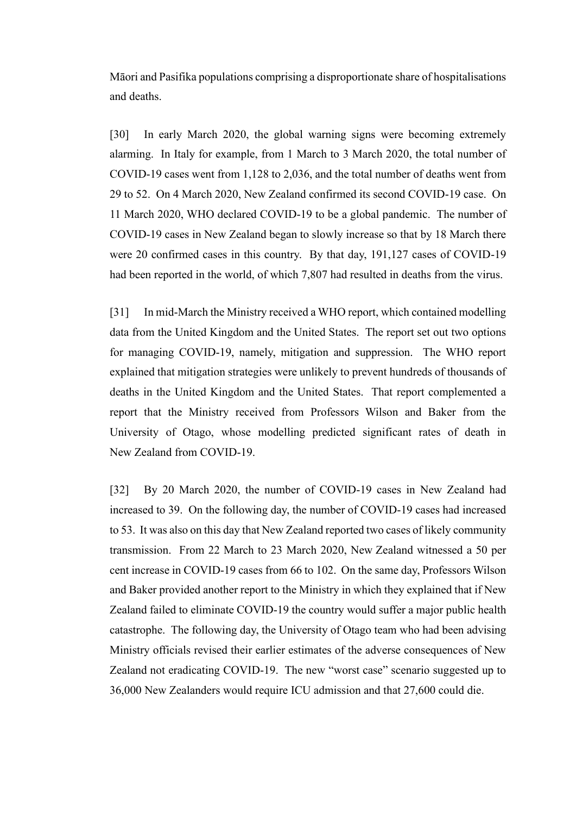Māori and Pasifika populations comprising a disproportionate share of hospitalisations and deaths.

[30] In early March 2020, the global warning signs were becoming extremely alarming. In Italy for example, from 1 March to 3 March 2020, the total number of COVID-19 cases went from 1,128 to 2,036, and the total number of deaths went from 29 to 52. On 4 March 2020, New Zealand confirmed its second COVID-19 case. On 11 March 2020, WHO declared COVID-19 to be a global pandemic. The number of COVID-19 cases in New Zealand began to slowly increase so that by 18 March there were 20 confirmed cases in this country. By that day, 191,127 cases of COVID-19 had been reported in the world, of which 7,807 had resulted in deaths from the virus.

[31] In mid-March the Ministry received a WHO report, which contained modelling data from the United Kingdom and the United States. The report set out two options for managing COVID-19, namely, mitigation and suppression. The WHO report explained that mitigation strategies were unlikely to prevent hundreds of thousands of deaths in the United Kingdom and the United States. That report complemented a report that the Ministry received from Professors Wilson and Baker from the University of Otago, whose modelling predicted significant rates of death in New Zealand from COVID-19.

[32] By 20 March 2020, the number of COVID-19 cases in New Zealand had increased to 39. On the following day, the number of COVID-19 cases had increased to 53. It was also on this day that New Zealand reported two cases of likely community transmission. From 22 March to 23 March 2020, New Zealand witnessed a 50 per cent increase in COVID-19 cases from 66 to 102. On the same day, Professors Wilson and Baker provided another report to the Ministry in which they explained that if New Zealand failed to eliminate COVID-19 the country would suffer a major public health catastrophe. The following day, the University of Otago team who had been advising Ministry officials revised their earlier estimates of the adverse consequences of New Zealand not eradicating COVID-19. The new "worst case" scenario suggested up to 36,000 New Zealanders would require ICU admission and that 27,600 could die.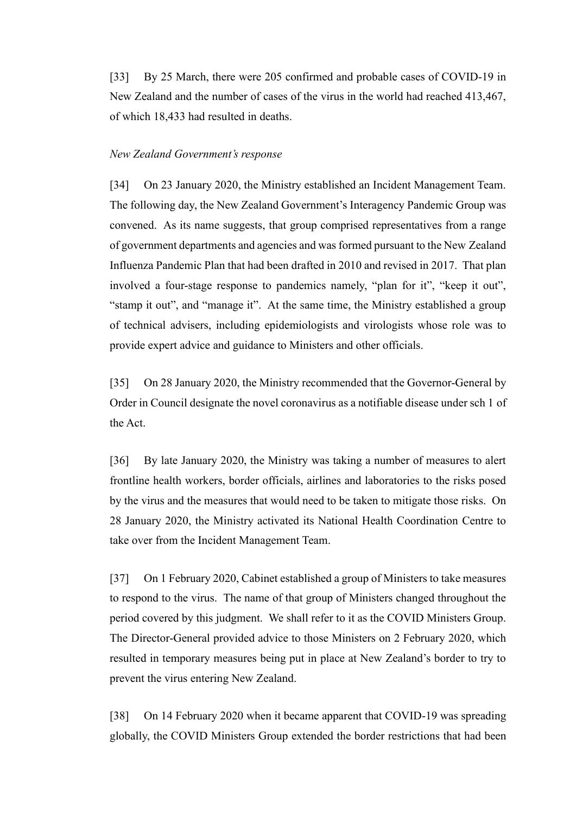[33] By 25 March, there were 205 confirmed and probable cases of COVID-19 in New Zealand and the number of cases of the virus in the world had reached 413,467, of which 18,433 had resulted in deaths.

#### *New Zealand Government's response*

[34] On 23 January 2020, the Ministry established an Incident Management Team. The following day, the New Zealand Government's Interagency Pandemic Group was convened. As its name suggests, that group comprised representatives from a range of government departments and agencies and was formed pursuant to the New Zealand Influenza Pandemic Plan that had been drafted in 2010 and revised in 2017. That plan involved a four-stage response to pandemics namely, "plan for it", "keep it out", "stamp it out", and "manage it". At the same time, the Ministry established a group of technical advisers, including epidemiologists and virologists whose role was to provide expert advice and guidance to Ministers and other officials.

[35] On 28 January 2020, the Ministry recommended that the Governor-General by Order in Council designate the novel coronavirus as a notifiable disease under sch 1 of the Act.

[36] By late January 2020, the Ministry was taking a number of measures to alert frontline health workers, border officials, airlines and laboratories to the risks posed by the virus and the measures that would need to be taken to mitigate those risks. On 28 January 2020, the Ministry activated its National Health Coordination Centre to take over from the Incident Management Team.

[37] On 1 February 2020, Cabinet established a group of Ministers to take measures to respond to the virus. The name of that group of Ministers changed throughout the period covered by this judgment. We shall refer to it as the COVID Ministers Group. The Director-General provided advice to those Ministers on 2 February 2020, which resulted in temporary measures being put in place at New Zealand's border to try to prevent the virus entering New Zealand.

[38] On 14 February 2020 when it became apparent that COVID-19 was spreading globally, the COVID Ministers Group extended the border restrictions that had been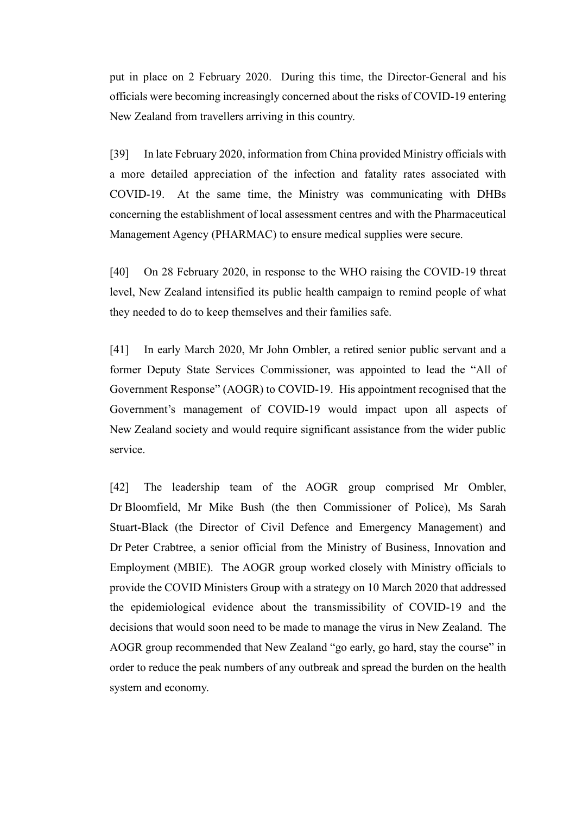put in place on 2 February 2020. During this time, the Director-General and his officials were becoming increasingly concerned about the risks of COVID-19 entering New Zealand from travellers arriving in this country.

[39] In late February 2020, information from China provided Ministry officials with a more detailed appreciation of the infection and fatality rates associated with COVID-19. At the same time, the Ministry was communicating with DHBs concerning the establishment of local assessment centres and with the Pharmaceutical Management Agency (PHARMAC) to ensure medical supplies were secure.

[40] On 28 February 2020, in response to the WHO raising the COVID-19 threat level, New Zealand intensified its public health campaign to remind people of what they needed to do to keep themselves and their families safe.

[41] In early March 2020, Mr John Ombler, a retired senior public servant and a former Deputy State Services Commissioner, was appointed to lead the "All of Government Response" (AOGR) to COVID-19. His appointment recognised that the Government's management of COVID-19 would impact upon all aspects of New Zealand society and would require significant assistance from the wider public service.

[42] The leadership team of the AOGR group comprised Mr Ombler, Dr Bloomfield, Mr Mike Bush (the then Commissioner of Police), Ms Sarah Stuart-Black (the Director of Civil Defence and Emergency Management) and Dr Peter Crabtree, a senior official from the Ministry of Business, Innovation and Employment (MBIE). The AOGR group worked closely with Ministry officials to provide the COVID Ministers Group with a strategy on 10 March 2020 that addressed the epidemiological evidence about the transmissibility of COVID-19 and the decisions that would soon need to be made to manage the virus in New Zealand. The AOGR group recommended that New Zealand "go early, go hard, stay the course" in order to reduce the peak numbers of any outbreak and spread the burden on the health system and economy.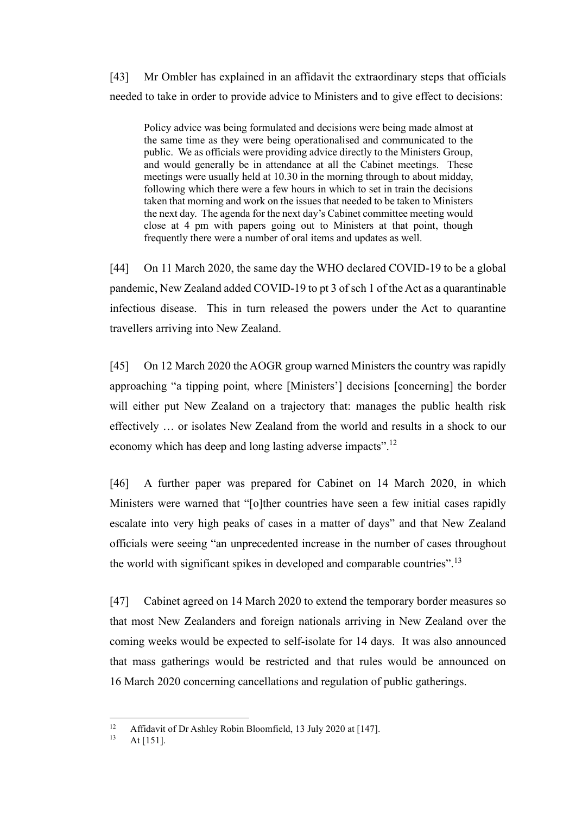[43] Mr Ombler has explained in an affidavit the extraordinary steps that officials needed to take in order to provide advice to Ministers and to give effect to decisions:

Policy advice was being formulated and decisions were being made almost at the same time as they were being operationalised and communicated to the public. We as officials were providing advice directly to the Ministers Group, and would generally be in attendance at all the Cabinet meetings. These meetings were usually held at 10.30 in the morning through to about midday, following which there were a few hours in which to set in train the decisions taken that morning and work on the issues that needed to be taken to Ministers the next day. The agenda for the next day's Cabinet committee meeting would close at 4 pm with papers going out to Ministers at that point, though frequently there were a number of oral items and updates as well.

[44] On 11 March 2020, the same day the WHO declared COVID-19 to be a global pandemic, New Zealand added COVID-19 to pt 3 of sch 1 of the Act as a quarantinable infectious disease. This in turn released the powers under the Act to quarantine travellers arriving into New Zealand.

[45] On 12 March 2020 the AOGR group warned Ministers the country was rapidly approaching "a tipping point, where [Ministers'] decisions [concerning] the border will either put New Zealand on a trajectory that: manages the public health risk effectively … or isolates New Zealand from the world and results in a shock to our economy which has deep and long lasting adverse impacts".<sup>12</sup>

[46] A further paper was prepared for Cabinet on 14 March 2020, in which Ministers were warned that "[o]ther countries have seen a few initial cases rapidly escalate into very high peaks of cases in a matter of days" and that New Zealand officials were seeing "an unprecedented increase in the number of cases throughout the world with significant spikes in developed and comparable countries".<sup>13</sup>

[47] Cabinet agreed on 14 March 2020 to extend the temporary border measures so that most New Zealanders and foreign nationals arriving in New Zealand over the coming weeks would be expected to self-isolate for 14 days. It was also announced that mass gatherings would be restricted and that rules would be announced on 16 March 2020 concerning cancellations and regulation of public gatherings.

<sup>&</sup>lt;sup>12</sup> Affidavit of Dr Ashley Robin Bloomfield, 13 July 2020 at [147].

At [151].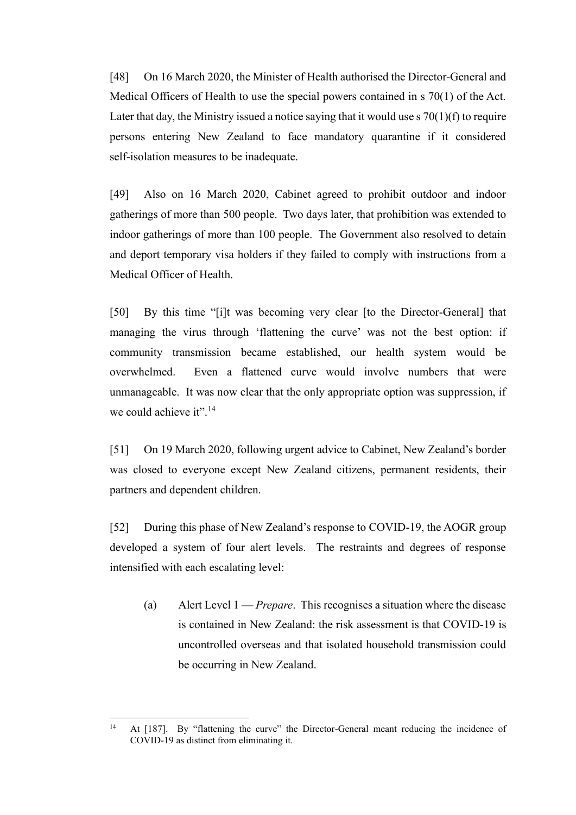[48] On 16 March 2020, the Minister of Health authorised the Director-General and Medical Officers of Health to use the special powers contained in s 70(1) of the Act. Later that day, the Ministry issued a notice saying that it would use  $\frac{s}{0}(1)(f)$  to require persons entering New Zealand to face mandatory quarantine if it considered self-isolation measures to be inadequate.

[49] Also on 16 March 2020, Cabinet agreed to prohibit outdoor and indoor gatherings of more than 500 people. Two days later, that prohibition was extended to indoor gatherings of more than 100 people. The Government also resolved to detain and deport temporary visa holders if they failed to comply with instructions from a Medical Officer of Health.

[50] By this time "[i]t was becoming very clear [to the Director-General] that managing the virus through 'flattening the curve' was not the best option: if community transmission became established, our health system would be overwhelmed. Even a flattened curve would involve numbers that were unmanageable. It was now clear that the only appropriate option was suppression, if we could achieve it".<sup>14</sup>

[51] On 19 March 2020, following urgent advice to Cabinet, New Zealand's border was closed to everyone except New Zealand citizens, permanent residents, their partners and dependent children.

[52] During this phase of New Zealand's response to COVID-19, the AOGR group developed a system of four alert levels. The restraints and degrees of response intensified with each escalating level:

(a) Alert Level 1 — *Prepare*. This recognises a situation where the disease is contained in New Zealand: the risk assessment is that COVID-19 is uncontrolled overseas and that isolated household transmission could be occurring in New Zealand.

<sup>&</sup>lt;sup>14</sup> At [187]. By "flattening the curve" the Director-General meant reducing the incidence of COVID-19 as distinct from eliminating it.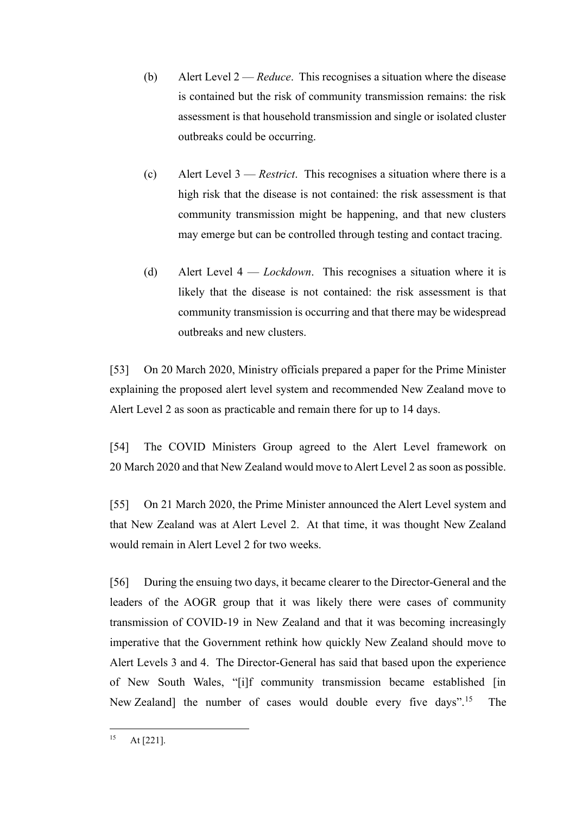- (b) Alert Level 2 *Reduce*. This recognises a situation where the disease is contained but the risk of community transmission remains: the risk assessment is that household transmission and single or isolated cluster outbreaks could be occurring.
- (c) Alert Level 3 *Restrict*. This recognises a situation where there is a high risk that the disease is not contained: the risk assessment is that community transmission might be happening, and that new clusters may emerge but can be controlled through testing and contact tracing.
- (d) Alert Level 4 *Lockdown*. This recognises a situation where it is likely that the disease is not contained: the risk assessment is that community transmission is occurring and that there may be widespread outbreaks and new clusters.

[53] On 20 March 2020, Ministry officials prepared a paper for the Prime Minister explaining the proposed alert level system and recommended New Zealand move to Alert Level 2 as soon as practicable and remain there for up to 14 days.

[54] The COVID Ministers Group agreed to the Alert Level framework on 20 March 2020 and that New Zealand would move to Alert Level 2 as soon as possible.

[55] On 21 March 2020, the Prime Minister announced the Alert Level system and that New Zealand was at Alert Level 2. At that time, it was thought New Zealand would remain in Alert Level 2 for two weeks.

[56] During the ensuing two days, it became clearer to the Director-General and the leaders of the AOGR group that it was likely there were cases of community transmission of COVID-19 in New Zealand and that it was becoming increasingly imperative that the Government rethink how quickly New Zealand should move to Alert Levels 3 and 4. The Director-General has said that based upon the experience of New South Wales, "[i]f community transmission became established [in New Zealand] the number of cases would double every five days".<sup>15</sup> The

 $15$  At [221].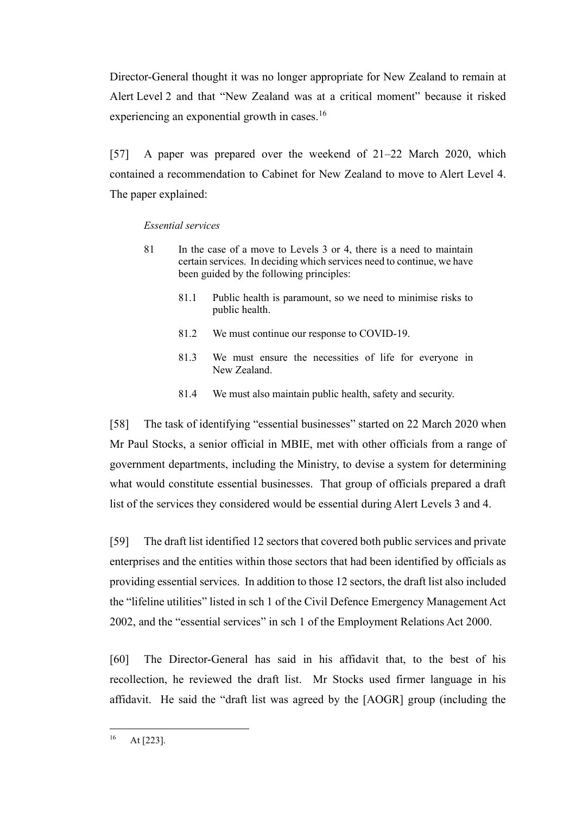Director-General thought it was no longer appropriate for New Zealand to remain at Alert Level 2 and that "New Zealand was at a critical moment" because it risked experiencing an exponential growth in cases.<sup>16</sup>

[57] A paper was prepared over the weekend of 21–22 March 2020, which contained a recommendation to Cabinet for New Zealand to move to Alert Level 4. The paper explained:

#### *Essential services*

- 81 In the case of a move to Levels 3 or 4, there is a need to maintain certain services. In deciding which services need to continue, we have been guided by the following principles:
	- 81.1 Public health is paramount, so we need to minimise risks to public health.
	- 81.2 We must continue our response to COVID-19.
	- 81.3 We must ensure the necessities of life for everyone in New Zealand.
	- 81.4 We must also maintain public health, safety and security.

[58] The task of identifying "essential businesses" started on 22 March 2020 when Mr Paul Stocks, a senior official in MBIE, met with other officials from a range of government departments, including the Ministry, to devise a system for determining what would constitute essential businesses. That group of officials prepared a draft list of the services they considered would be essential during Alert Levels 3 and 4.

[59] The draft list identified 12 sectors that covered both public services and private enterprises and the entities within those sectors that had been identified by officials as providing essential services. In addition to those 12 sectors, the draft list also included the "lifeline utilities" listed in sch 1 of the Civil Defence Emergency Management Act 2002, and the "essential services" in sch 1 of the Employment Relations Act 2000.

[60] The Director-General has said in his affidavit that, to the best of his recollection, he reviewed the draft list. Mr Stocks used firmer language in his affidavit. He said the "draft list was agreed by the [AOGR] group (including the

 $16$  At [223].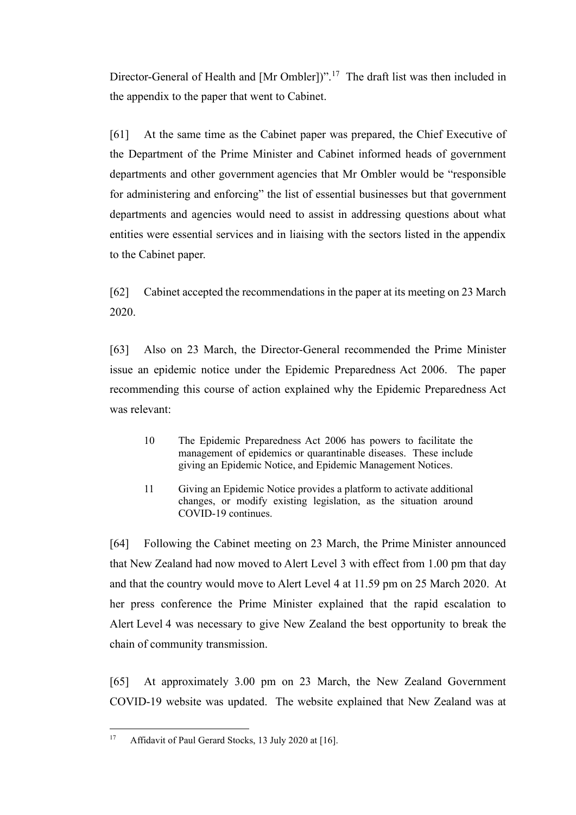Director-General of Health and [Mr Ombler])".<sup>17</sup> The draft list was then included in the appendix to the paper that went to Cabinet.

[61] At the same time as the Cabinet paper was prepared, the Chief Executive of the Department of the Prime Minister and Cabinet informed heads of government departments and other government agencies that Mr Ombler would be "responsible for administering and enforcing" the list of essential businesses but that government departments and agencies would need to assist in addressing questions about what entities were essential services and in liaising with the sectors listed in the appendix to the Cabinet paper.

[62] Cabinet accepted the recommendations in the paper at its meeting on 23 March 2020.

[63] Also on 23 March, the Director-General recommended the Prime Minister issue an epidemic notice under the Epidemic Preparedness Act 2006. The paper recommending this course of action explained why the Epidemic Preparedness Act was relevant:

- 10 The Epidemic Preparedness Act 2006 has powers to facilitate the management of epidemics or quarantinable diseases. These include giving an Epidemic Notice, and Epidemic Management Notices.
- 11 Giving an Epidemic Notice provides a platform to activate additional changes, or modify existing legislation, as the situation around COVID-19 continues.

[64] Following the Cabinet meeting on 23 March, the Prime Minister announced that New Zealand had now moved to Alert Level 3 with effect from 1.00 pm that day and that the country would move to Alert Level 4 at 11.59 pm on 25 March 2020. At her press conference the Prime Minister explained that the rapid escalation to Alert Level 4 was necessary to give New Zealand the best opportunity to break the chain of community transmission.

[65] At approximately 3.00 pm on 23 March, the New Zealand Government COVID-19 website was updated. The website explained that New Zealand was at

<sup>&</sup>lt;sup>17</sup> Affidavit of Paul Gerard Stocks, 13 July 2020 at [16].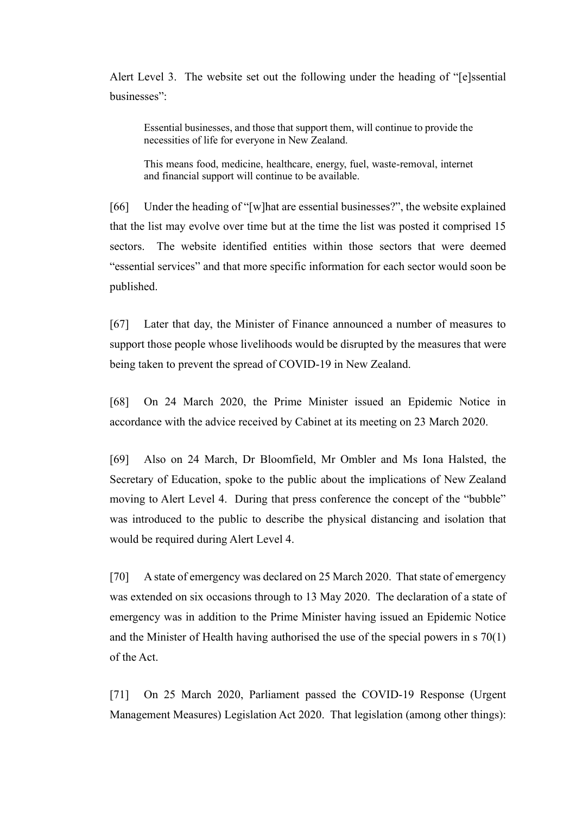Alert Level 3. The website set out the following under the heading of "[e]ssential businesses":

Essential businesses, and those that support them, will continue to provide the necessities of life for everyone in New Zealand.

This means food, medicine, healthcare, energy, fuel, waste-removal, internet and financial support will continue to be available.

[66] Under the heading of "[w]hat are essential businesses?", the website explained that the list may evolve over time but at the time the list was posted it comprised 15 sectors. The website identified entities within those sectors that were deemed "essential services" and that more specific information for each sector would soon be published.

[67] Later that day, the Minister of Finance announced a number of measures to support those people whose livelihoods would be disrupted by the measures that were being taken to prevent the spread of COVID-19 in New Zealand.

[68] On 24 March 2020, the Prime Minister issued an Epidemic Notice in accordance with the advice received by Cabinet at its meeting on 23 March 2020.

[69] Also on 24 March, Dr Bloomfield, Mr Ombler and Ms Iona Halsted, the Secretary of Education, spoke to the public about the implications of New Zealand moving to Alert Level 4. During that press conference the concept of the "bubble" was introduced to the public to describe the physical distancing and isolation that would be required during Alert Level 4.

[70] A state of emergency was declared on 25 March 2020. That state of emergency was extended on six occasions through to 13 May 2020. The declaration of a state of emergency was in addition to the Prime Minister having issued an Epidemic Notice and the Minister of Health having authorised the use of the special powers in s 70(1) of the Act.

[71] On 25 March 2020, Parliament passed the COVID-19 Response (Urgent Management Measures) Legislation Act 2020. That legislation (among other things):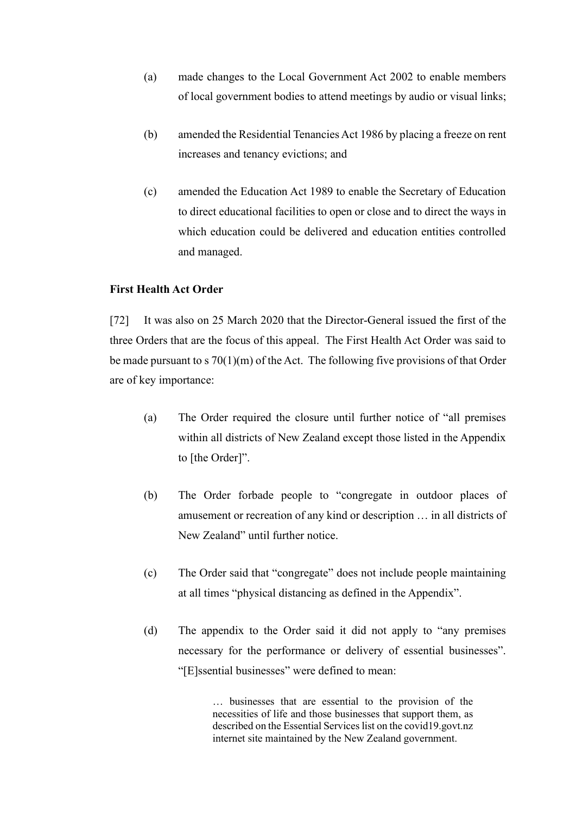- (a) made changes to the Local Government Act 2002 to enable members of local government bodies to attend meetings by audio or visual links;
- (b) amended the Residential Tenancies Act 1986 by placing a freeze on rent increases and tenancy evictions; and
- (c) amended the Education Act 1989 to enable the Secretary of Education to direct educational facilities to open or close and to direct the ways in which education could be delivered and education entities controlled and managed.

### **First Health Act Order**

[72] It was also on 25 March 2020 that the Director-General issued the first of the three Orders that are the focus of this appeal. The First Health Act Order was said to be made pursuant to s 70(1)(m) of the Act. The following five provisions of that Order are of key importance:

- (a) The Order required the closure until further notice of "all premises within all districts of New Zealand except those listed in the Appendix to [the Order]".
- (b) The Order forbade people to "congregate in outdoor places of amusement or recreation of any kind or description … in all districts of New Zealand" until further notice.
- (c) The Order said that "congregate" does not include people maintaining at all times "physical distancing as defined in the Appendix".
- (d) The appendix to the Order said it did not apply to "any premises necessary for the performance or delivery of essential businesses". "[E]ssential businesses" were defined to mean:

… businesses that are essential to the provision of the necessities of life and those businesses that support them, as described on the Essential Services list on the covid19.govt.nz internet site maintained by the New Zealand government.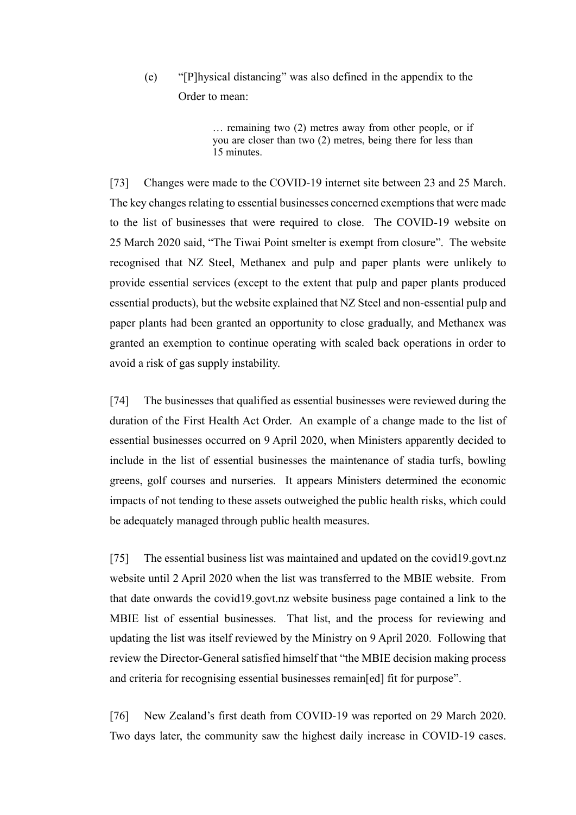(e) "[P]hysical distancing" was also defined in the appendix to the Order to mean:

> … remaining two (2) metres away from other people, or if you are closer than two (2) metres, being there for less than 15 minutes.

[73] Changes were made to the COVID-19 internet site between 23 and 25 March. The key changes relating to essential businesses concerned exemptions that were made to the list of businesses that were required to close. The COVID-19 website on 25 March 2020 said, "The Tiwai Point smelter is exempt from closure". The website recognised that NZ Steel, Methanex and pulp and paper plants were unlikely to provide essential services (except to the extent that pulp and paper plants produced essential products), but the website explained that NZ Steel and non-essential pulp and paper plants had been granted an opportunity to close gradually, and Methanex was granted an exemption to continue operating with scaled back operations in order to avoid a risk of gas supply instability.

[74] The businesses that qualified as essential businesses were reviewed during the duration of the First Health Act Order. An example of a change made to the list of essential businesses occurred on 9 April 2020, when Ministers apparently decided to include in the list of essential businesses the maintenance of stadia turfs, bowling greens, golf courses and nurseries. It appears Ministers determined the economic impacts of not tending to these assets outweighed the public health risks, which could be adequately managed through public health measures.

[75] The essential business list was maintained and updated on the covid19.govt.nz website until 2 April 2020 when the list was transferred to the MBIE website. From that date onwards the covid19.govt.nz website business page contained a link to the MBIE list of essential businesses. That list, and the process for reviewing and updating the list was itself reviewed by the Ministry on 9 April 2020. Following that review the Director-General satisfied himself that "the MBIE decision making process and criteria for recognising essential businesses remain[ed] fit for purpose".

[76] New Zealand's first death from COVID-19 was reported on 29 March 2020. Two days later, the community saw the highest daily increase in COVID-19 cases.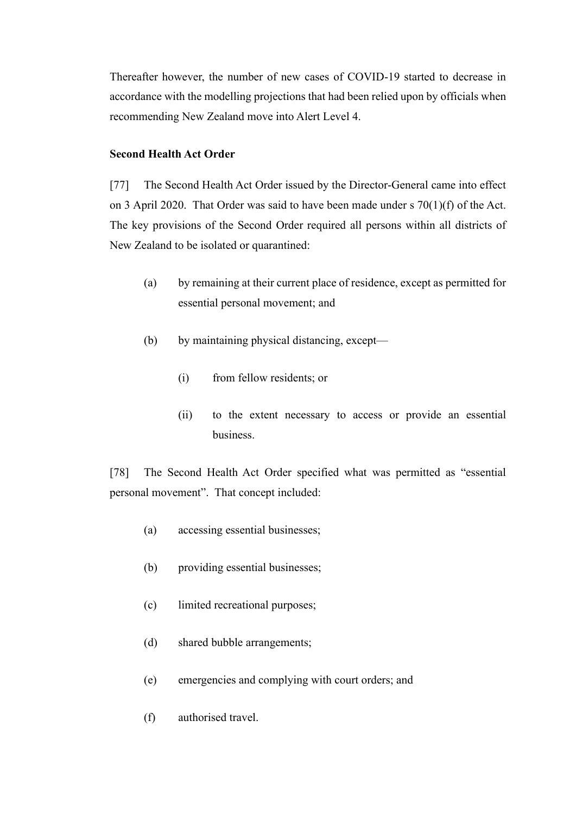Thereafter however, the number of new cases of COVID-19 started to decrease in accordance with the modelling projections that had been relied upon by officials when recommending New Zealand move into Alert Level 4.

# **Second Health Act Order**

[77] The Second Health Act Order issued by the Director-General came into effect on 3 April 2020. That Order was said to have been made under s 70(1)(f) of the Act. The key provisions of the Second Order required all persons within all districts of New Zealand to be isolated or quarantined:

- (a) by remaining at their current place of residence, except as permitted for essential personal movement; and
- (b) by maintaining physical distancing, except—
	- (i) from fellow residents; or
	- (ii) to the extent necessary to access or provide an essential business.

[78] The Second Health Act Order specified what was permitted as "essential personal movement". That concept included:

- (a) accessing essential businesses;
- (b) providing essential businesses;
- (c) limited recreational purposes;
- (d) shared bubble arrangements;
- (e) emergencies and complying with court orders; and
- (f) authorised travel.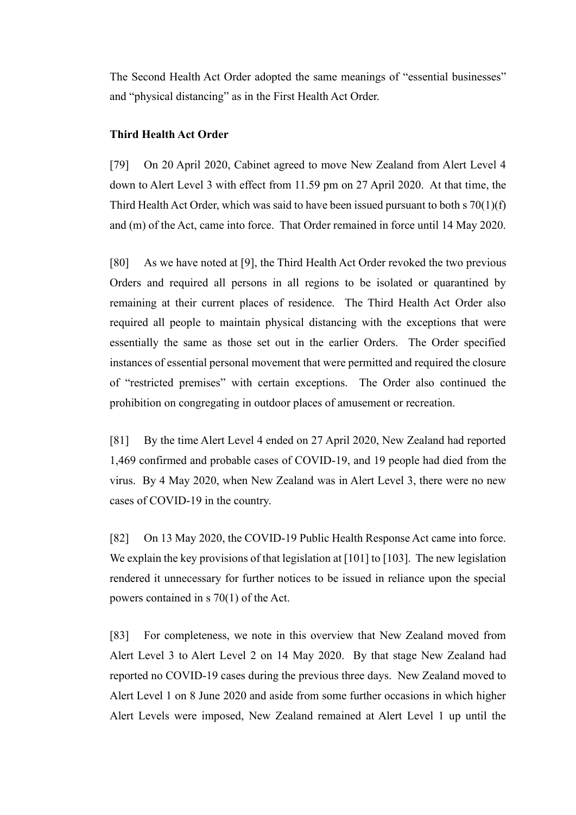The Second Health Act Order adopted the same meanings of "essential businesses" and "physical distancing" as in the First Health Act Order.

# **Third Health Act Order**

[79] On 20 April 2020, Cabinet agreed to move New Zealand from Alert Level 4 down to Alert Level 3 with effect from 11.59 pm on 27 April 2020. At that time, the Third Health Act Order, which was said to have been issued pursuant to both s 70(1)(f) and (m) of the Act, came into force. That Order remained in force until 14 May 2020.

[80] As we have noted at [9], the Third Health Act Order revoked the two previous Orders and required all persons in all regions to be isolated or quarantined by remaining at their current places of residence. The Third Health Act Order also required all people to maintain physical distancing with the exceptions that were essentially the same as those set out in the earlier Orders. The Order specified instances of essential personal movement that were permitted and required the closure of "restricted premises" with certain exceptions. The Order also continued the prohibition on congregating in outdoor places of amusement or recreation.

[81] By the time Alert Level 4 ended on 27 April 2020, New Zealand had reported 1,469 confirmed and probable cases of COVID-19, and 19 people had died from the virus. By 4 May 2020, when New Zealand was in Alert Level 3, there were no new cases of COVID-19 in the country.

[82] On 13 May 2020, the COVID-19 Public Health Response Act came into force. We explain the key provisions of that legislation at [101] to [103]. The new legislation rendered it unnecessary for further notices to be issued in reliance upon the special powers contained in s 70(1) of the Act.

[83] For completeness, we note in this overview that New Zealand moved from Alert Level 3 to Alert Level 2 on 14 May 2020. By that stage New Zealand had reported no COVID-19 cases during the previous three days. New Zealand moved to Alert Level 1 on 8 June 2020 and aside from some further occasions in which higher Alert Levels were imposed, New Zealand remained at Alert Level 1 up until the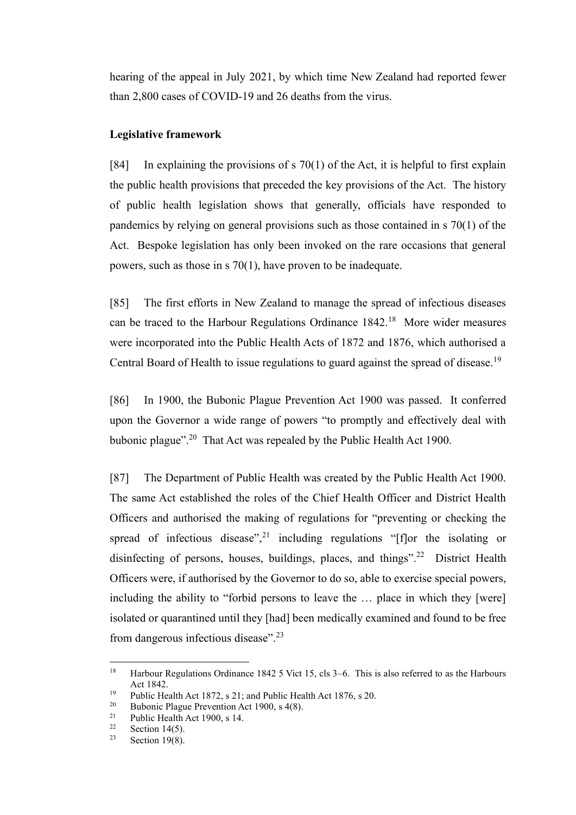hearing of the appeal in July 2021, by which time New Zealand had reported fewer than 2,800 cases of COVID-19 and 26 deaths from the virus.

### **Legislative framework**

[84] In explaining the provisions of  $s$  70(1) of the Act, it is helpful to first explain the public health provisions that preceded the key provisions of the Act. The history of public health legislation shows that generally, officials have responded to pandemics by relying on general provisions such as those contained in s 70(1) of the Act. Bespoke legislation has only been invoked on the rare occasions that general powers, such as those in s 70(1), have proven to be inadequate.

[85] The first efforts in New Zealand to manage the spread of infectious diseases can be traced to the Harbour Regulations Ordinance  $1842<sup>18</sup>$  More wider measures were incorporated into the Public Health Acts of 1872 and 1876, which authorised a Central Board of Health to issue regulations to guard against the spread of disease.<sup>19</sup>

[86] In 1900, the Bubonic Plague Prevention Act 1900 was passed. It conferred upon the Governor a wide range of powers "to promptly and effectively deal with bubonic plague".<sup>20</sup> That Act was repealed by the Public Health Act 1900.

[87] The Department of Public Health was created by the Public Health Act 1900. The same Act established the roles of the Chief Health Officer and District Health Officers and authorised the making of regulations for "preventing or checking the spread of infectious disease",<sup>21</sup> including regulations " $[f]$ or the isolating or disinfecting of persons, houses, buildings, places, and things".<sup>22</sup> District Health Officers were, if authorised by the Governor to do so, able to exercise special powers, including the ability to "forbid persons to leave the … place in which they [were] isolated or quarantined until they [had] been medically examined and found to be free from dangerous infectious disease".<sup>23</sup>

<sup>&</sup>lt;sup>18</sup> Harbour Regulations Ordinance 1842 5 Vict 15, cls 3–6. This is also referred to as the Harbours Act 1842.

<sup>&</sup>lt;sup>19</sup> Public Health Act 1872, s 21; and Public Health Act 1876, s 20.<br><sup>20</sup> Public Plague Provention Act 1900, s  $A(8)$ .

<sup>&</sup>lt;sup>20</sup> Bubonic Plague Prevention Act 1900, s 4(8).<br><sup>21</sup> Bublic Hoalth Act 1900, s 14

<sup>&</sup>lt;sup>21</sup> Public Health Act 1900, s 14.<br><sup>22</sup> Section 14(5)

<sup>&</sup>lt;sup>22</sup> Section 14(5).<br><sup>23</sup> Section 19(8)

Section  $19(8)$ .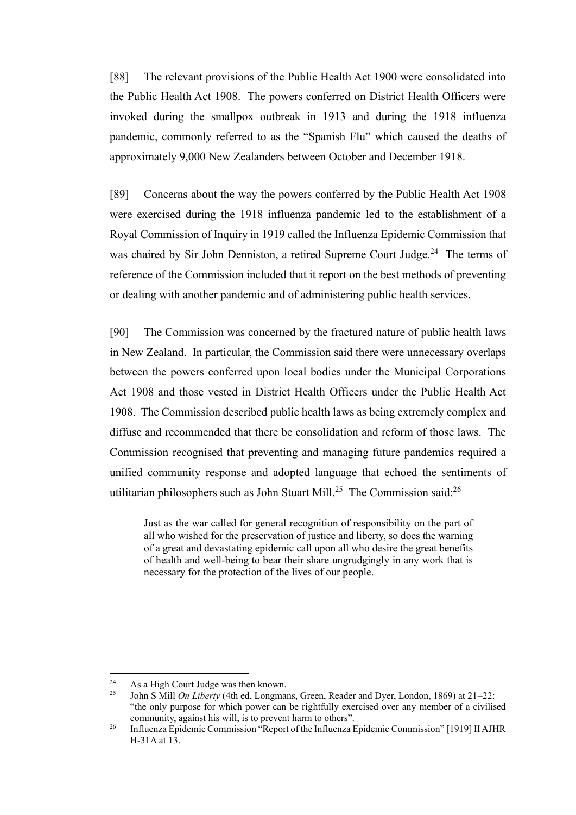[88] The relevant provisions of the Public Health Act 1900 were consolidated into the Public Health Act 1908. The powers conferred on District Health Officers were invoked during the smallpox outbreak in 1913 and during the 1918 influenza pandemic, commonly referred to as the "Spanish Flu" which caused the deaths of approximately 9,000 New Zealanders between October and December 1918.

[89] Concerns about the way the powers conferred by the Public Health Act 1908 were exercised during the 1918 influenza pandemic led to the establishment of a Royal Commission of Inquiry in 1919 called the Influenza Epidemic Commission that was chaired by Sir John Denniston, a retired Supreme Court Judge.<sup>24</sup> The terms of reference of the Commission included that it report on the best methods of preventing or dealing with another pandemic and of administering public health services.

[90] The Commission was concerned by the fractured nature of public health laws in New Zealand. In particular, the Commission said there were unnecessary overlaps between the powers conferred upon local bodies under the Municipal Corporations Act 1908 and those vested in District Health Officers under the Public Health Act 1908. The Commission described public health laws as being extremely complex and diffuse and recommended that there be consolidation and reform of those laws. The Commission recognised that preventing and managing future pandemics required a unified community response and adopted language that echoed the sentiments of utilitarian philosophers such as John Stuart Mill.<sup>25</sup> The Commission said:<sup>26</sup>

Just as the war called for general recognition of responsibility on the part of all who wished for the preservation of justice and liberty, so does the warning of a great and devastating epidemic call upon all who desire the great benefits of health and well-being to bear their share ungrudgingly in any work that is necessary for the protection of the lives of our people.

<sup>&</sup>lt;sup>24</sup> As a High Court Judge was then known.<br><sup>25</sup> Iohn S Mill *On Liberty* (4th ed. I onomai

<sup>25</sup> John S Mill *On Liberty* (4th ed, Longmans, Green, Reader and Dyer, London, 1869) at 21–22: "the only purpose for which power can be rightfully exercised over any member of a civilised community, against his will, is to prevent harm to others".

<sup>&</sup>lt;sup>26</sup> Influenza Epidemic Commission "Report of the Influenza Epidemic Commission" [1919] II AJHR H-31A at 13.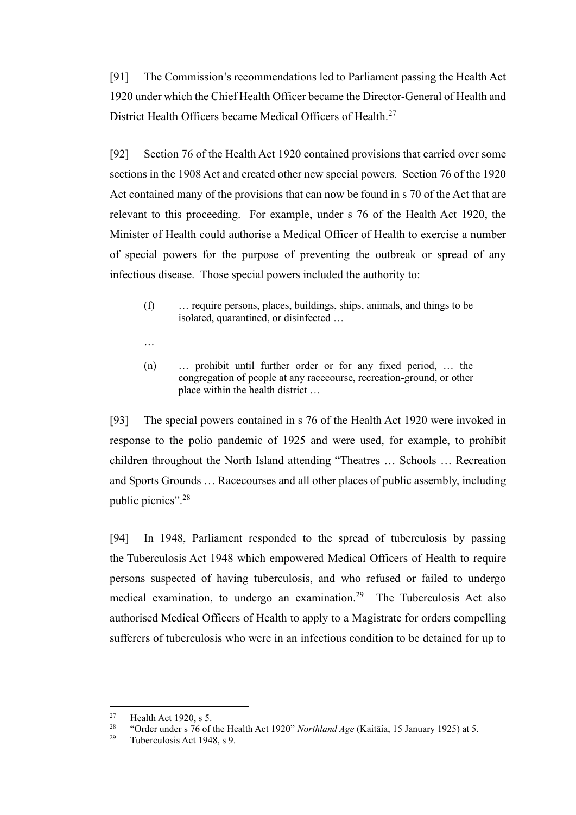[91] The Commission's recommendations led to Parliament passing the Health Act 1920 under which the Chief Health Officer became the Director-General of Health and District Health Officers became Medical Officers of Health.<sup>27</sup>

[92] Section 76 of the Health Act 1920 contained provisions that carried over some sections in the 1908 Act and created other new special powers. Section 76 of the 1920 Act contained many of the provisions that can now be found in s 70 of the Act that are relevant to this proceeding. For example, under s 76 of the Health Act 1920, the Minister of Health could authorise a Medical Officer of Health to exercise a number of special powers for the purpose of preventing the outbreak or spread of any infectious disease. Those special powers included the authority to:

- (f) … require persons, places, buildings, ships, animals, and things to be isolated, quarantined, or disinfected …
- …
- (n) … prohibit until further order or for any fixed period, … the congregation of people at any racecourse, recreation-ground, or other place within the health district …

[93] The special powers contained in s 76 of the Health Act 1920 were invoked in response to the polio pandemic of 1925 and were used, for example, to prohibit children throughout the North Island attending "Theatres … Schools … Recreation and Sports Grounds … Racecourses and all other places of public assembly, including public picnics".<sup>28</sup>

[94] In 1948, Parliament responded to the spread of tuberculosis by passing the Tuberculosis Act 1948 which empowered Medical Officers of Health to require persons suspected of having tuberculosis, and who refused or failed to undergo medical examination, to undergo an examination.<sup>29</sup> The Tuberculosis Act also authorised Medical Officers of Health to apply to a Magistrate for orders compelling sufferers of tuberculosis who were in an infectious condition to be detained for up to

<sup>&</sup>lt;sup>27</sup> Health Act 1920, s 5.<br><sup>28</sup> "Order under s 76 of

<sup>28</sup> "Order under s 76 of the Health Act 1920" *Northland Age* (Kaitāia, 15 January 1925) at 5.

<sup>&</sup>lt;sup>29</sup> Tuberculosis Act 1948, s 9.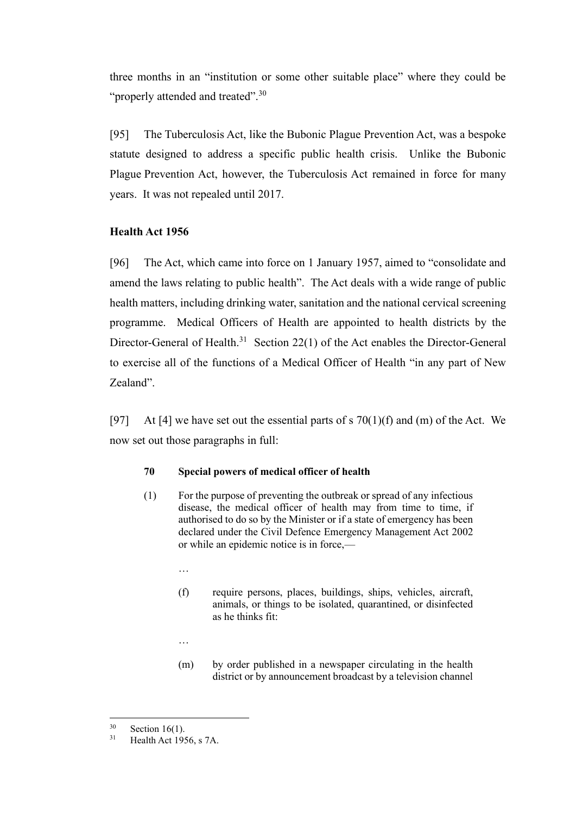three months in an "institution or some other suitable place" where they could be "properly attended and treated".<sup>30</sup>

[95] The Tuberculosis Act, like the Bubonic Plague Prevention Act, was a bespoke statute designed to address a specific public health crisis. Unlike the Bubonic Plague Prevention Act, however, the Tuberculosis Act remained in force for many years. It was not repealed until 2017.

# **Health Act 1956**

[96] The Act, which came into force on 1 January 1957, aimed to "consolidate and amend the laws relating to public health". The Act deals with a wide range of public health matters, including drinking water, sanitation and the national cervical screening programme. Medical Officers of Health are appointed to health districts by the Director-General of Health.<sup>31</sup> Section 22(1) of the Act enables the Director-General to exercise all of the functions of a Medical Officer of Health "in any part of New Zealand".

[97] At [4] we have set out the essential parts of s  $70(1)(f)$  and (m) of the Act. We now set out those paragraphs in full:

# **70 Special powers of medical officer of health**

- (1) For the purpose of preventing the outbreak or spread of any infectious disease, the medical officer of health may from time to time, if authorised to do so by the Minister or if a state of emergency has been declared under the Civil Defence Emergency Management Act 2002 or while an epidemic notice is in force,—
	- …
	- (f) require persons, places, buildings, ships, vehicles, aircraft, animals, or things to be isolated, quarantined, or disinfected as he thinks fit:
	- …
	- (m) by order published in a newspaper circulating in the health district or by announcement broadcast by a television channel

 $30$  Section 16(1).<br> $31$  Health Act 195

Health Act 1956, s 7A.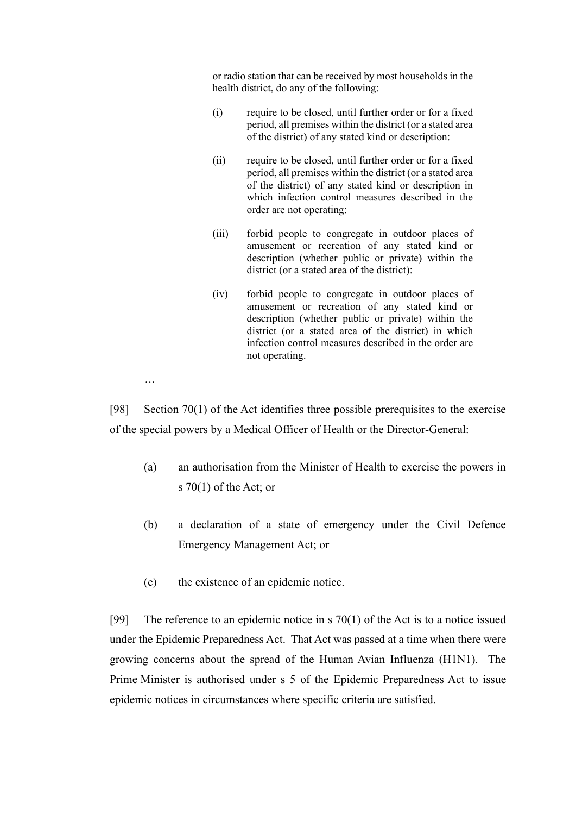or radio station that can be received by most households in the health district, do any of the following:

- (i) require to be closed, until further order or for a fixed period, all premises within the district (or a stated area of the district) of any stated kind or description:
- (ii) require to be closed, until further order or for a fixed period, all premises within the district (or a stated area of the district) of any stated kind or description in which infection control measures described in the order are not operating:
- (iii) forbid people to congregate in outdoor places of amusement or recreation of any stated kind or description (whether public or private) within the district (or a stated area of the district):
- (iv) forbid people to congregate in outdoor places of amusement or recreation of any stated kind or description (whether public or private) within the district (or a stated area of the district) in which infection control measures described in the order are not operating.

…

[98] Section 70(1) of the Act identifies three possible prerequisites to the exercise of the special powers by a Medical Officer of Health or the Director-General:

- (a) an authorisation from the Minister of Health to exercise the powers in s 70(1) of the Act; or
- (b) a declaration of a state of emergency under the Civil Defence Emergency Management Act; or
- (c) the existence of an epidemic notice.

[99] The reference to an epidemic notice in s  $70(1)$  of the Act is to a notice issued under the Epidemic Preparedness Act. That Act was passed at a time when there were growing concerns about the spread of the Human Avian Influenza (H1N1). The Prime Minister is authorised under s 5 of the Epidemic Preparedness Act to issue epidemic notices in circumstances where specific criteria are satisfied.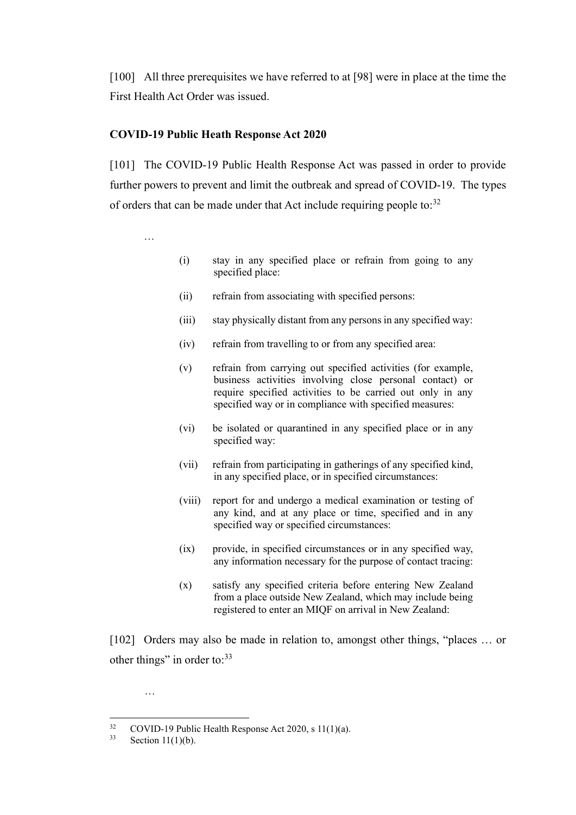[100] All three prerequisites we have referred to at [98] were in place at the time the First Health Act Order was issued.

# **COVID-19 Public Heath Response Act 2020**

[101] The COVID-19 Public Health Response Act was passed in order to provide further powers to prevent and limit the outbreak and spread of COVID-19. The types of orders that can be made under that Act include requiring people to: $32$ 

…

- (i) stay in any specified place or refrain from going to any specified place:
- (ii) refrain from associating with specified persons:
- (iii) stay physically distant from any persons in any specified way:
- (iv) refrain from travelling to or from any specified area:
- (v) refrain from carrying out specified activities (for example, business activities involving close personal contact) or require specified activities to be carried out only in any specified way or in compliance with specified measures:
- (vi) be isolated or quarantined in any specified place or in any specified way:
- (vii) refrain from participating in gatherings of any specified kind, in any specified place, or in specified circumstances:
- (viii) report for and undergo a medical examination or testing of any kind, and at any place or time, specified and in any specified way or specified circumstances:
- (ix) provide, in specified circumstances or in any specified way, any information necessary for the purpose of contact tracing:
- (x) satisfy any specified criteria before entering New Zealand from a place outside New Zealand, which may include being registered to enter an MIQF on arrival in New Zealand:

[102] Orders may also be made in relation to, amongst other things, "places ... or other things" in order to:<sup>33</sup>

…

<sup>&</sup>lt;sup>32</sup> COVID-19 Public Health Response Act 2020, s 11(1)(a).<br>Section 11(1)(b)

Section  $11(1)(b)$ .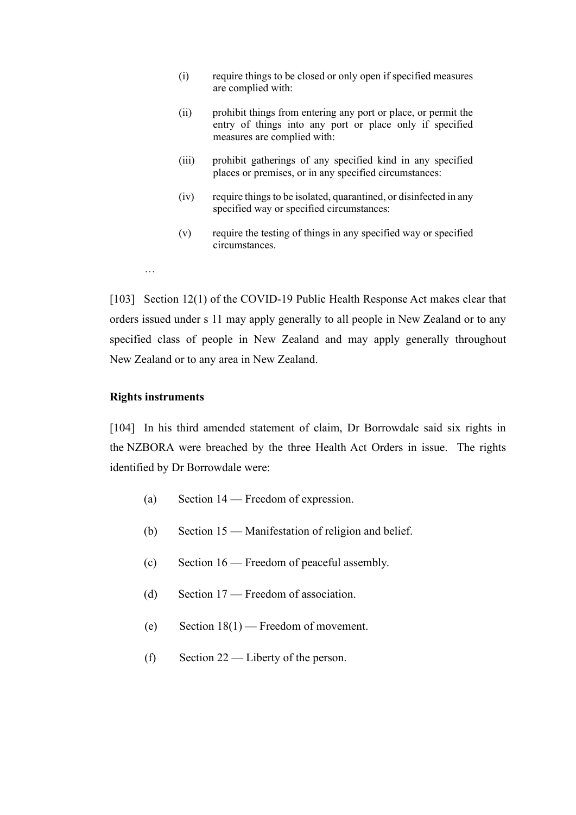- (i) require things to be closed or only open if specified measures are complied with:
- (ii) prohibit things from entering any port or place, or permit the entry of things into any port or place only if specified measures are complied with:
- (iii) prohibit gatherings of any specified kind in any specified places or premises, or in any specified circumstances:
- (iv) require things to be isolated, quarantined, or disinfected in any specified way or specified circumstances:
- (v) require the testing of things in any specified way or specified circumstances.
- …

[103] Section 12(1) of the COVID-19 Public Health Response Act makes clear that orders issued under s 11 may apply generally to all people in New Zealand or to any specified class of people in New Zealand and may apply generally throughout New Zealand or to any area in New Zealand.

### **Rights instruments**

[104] In his third amended statement of claim, Dr Borrowdale said six rights in the NZBORA were breached by the three Health Act Orders in issue. The rights identified by Dr Borrowdale were:

- (a) Section 14 Freedom of expression.
- (b) Section 15 Manifestation of religion and belief.
- (c) Section 16 Freedom of peaceful assembly.
- (d) Section 17 Freedom of association.
- (e) Section 18(1) Freedom of movement.
- (f) Section 22 Liberty of the person.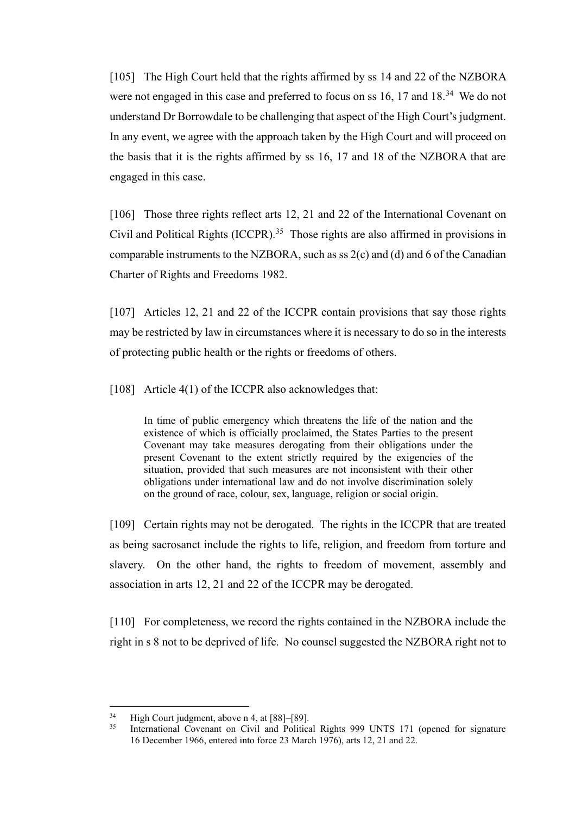[105] The High Court held that the rights affirmed by ss 14 and 22 of the NZBORA were not engaged in this case and preferred to focus on ss  $16$ , 17 and  $18.^{34}$  We do not understand Dr Borrowdale to be challenging that aspect of the High Court's judgment. In any event, we agree with the approach taken by the High Court and will proceed on the basis that it is the rights affirmed by ss 16, 17 and 18 of the NZBORA that are engaged in this case.

[106] Those three rights reflect arts 12, 21 and 22 of the International Covenant on Civil and Political Rights  $(ICCPR)$ .<sup>35</sup> Those rights are also affirmed in provisions in comparable instruments to the NZBORA, such as ss  $2(c)$  and (d) and 6 of the Canadian Charter of Rights and Freedoms 1982.

[107] Articles 12, 21 and 22 of the ICCPR contain provisions that say those rights may be restricted by law in circumstances where it is necessary to do so in the interests of protecting public health or the rights or freedoms of others.

[108] Article 4(1) of the ICCPR also acknowledges that:

In time of public emergency which threatens the life of the nation and the existence of which is officially proclaimed, the States Parties to the present Covenant may take measures derogating from their obligations under the present Covenant to the extent strictly required by the exigencies of the situation, provided that such measures are not inconsistent with their other obligations under international law and do not involve discrimination solely on the ground of race, colour, sex, language, religion or social origin.

[109] Certain rights may not be derogated. The rights in the ICCPR that are treated as being sacrosanct include the rights to life, religion, and freedom from torture and slavery. On the other hand, the rights to freedom of movement, assembly and association in arts 12, 21 and 22 of the ICCPR may be derogated.

[110] For completeness, we record the rights contained in the NZBORA include the right in s 8 not to be deprived of life. No counsel suggested the NZBORA right not to

 $^{34}$  High Court judgment, above n 4, at [88]–[89].<br> $^{35}$  International Covenant on Civil and Politics

International Covenant on Civil and Political Rights 999 UNTS 171 (opened for signature 16 December 1966, entered into force 23 March 1976), arts 12, 21 and 22.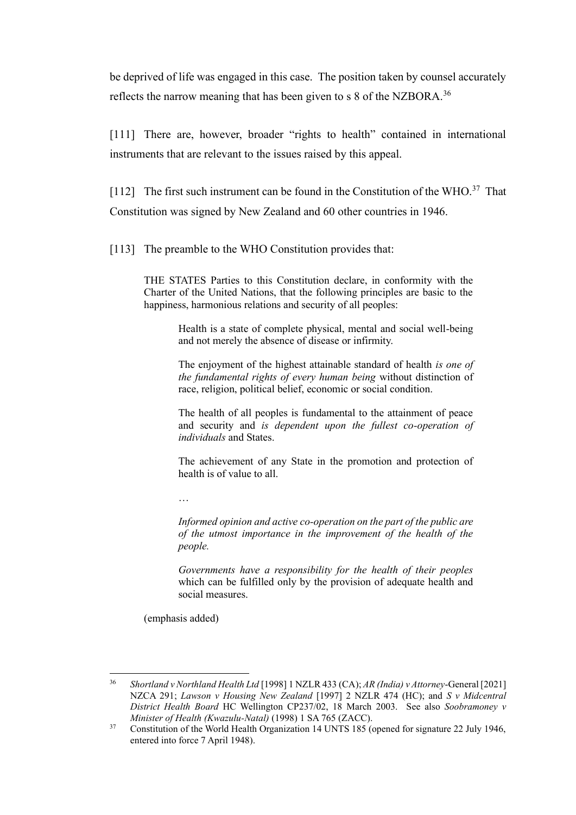be deprived of life was engaged in this case. The position taken by counsel accurately reflects the narrow meaning that has been given to s 8 of the NZBORA.<sup>36</sup>

[111] There are, however, broader "rights to health" contained in international instruments that are relevant to the issues raised by this appeal.

[112] The first such instrument can be found in the Constitution of the WHO.<sup>37</sup> That Constitution was signed by New Zealand and 60 other countries in 1946.

[113] The preamble to the WHO Constitution provides that:

THE STATES Parties to this Constitution declare, in conformity with the Charter of the United Nations, that the following principles are basic to the happiness, harmonious relations and security of all peoples:

> Health is a state of complete physical, mental and social well-being and not merely the absence of disease or infirmity.

> The enjoyment of the highest attainable standard of health *is one of the fundamental rights of every human being* without distinction of race, religion, political belief, economic or social condition.

> The health of all peoples is fundamental to the attainment of peace and security and *is dependent upon the fullest co-operation of individuals* and States.

> The achievement of any State in the promotion and protection of health is of value to all.

…

*Informed opinion and active co-operation on the part of the public are of the utmost importance in the improvement of the health of the people.*

*Governments have a responsibility for the health of their peoples*  which can be fulfilled only by the provision of adequate health and social measures.

(emphasis added)

<sup>36</sup> *Shortland v Northland Health Ltd* [1998] 1 NZLR 433 (CA); *AR (India) v Attorney*-General [2021] NZCA 291; *Lawson v Housing New Zealand* [1997] 2 NZLR 474 (HC); and *S v Midcentral District Health Board* HC Wellington CP237/02, 18 March 2003. See also *Soobramoney v Minister of Health (Kwazulu-Natal)* (1998) 1 SA 765 (ZACC).

<sup>&</sup>lt;sup>37</sup> Constitution of the World Health Organization 14 UNTS 185 (opened for signature 22 July 1946, entered into force 7 April 1948).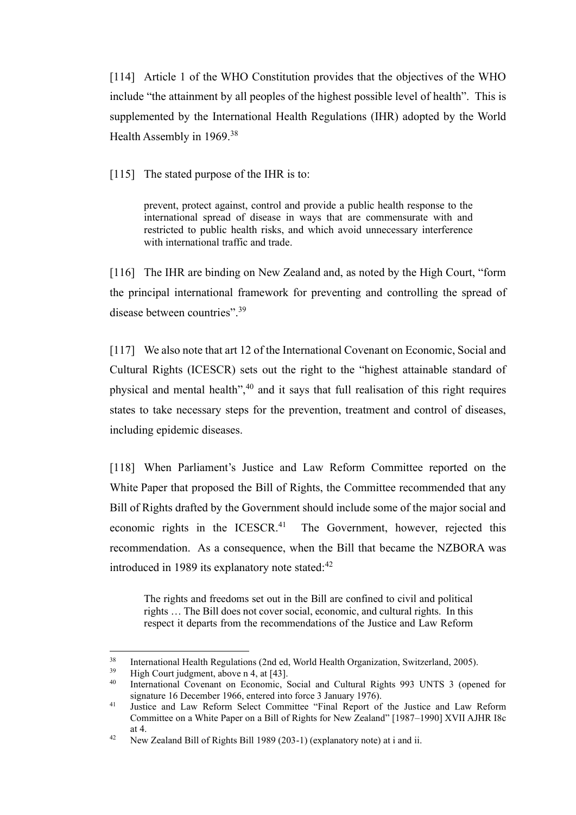[114] Article 1 of the WHO Constitution provides that the objectives of the WHO include "the attainment by all peoples of the highest possible level of health". This is supplemented by the International Health Regulations (IHR) adopted by the World Health Assembly in 1969.<sup>38</sup>

[115] The stated purpose of the IHR is to:

prevent, protect against, control and provide a public health response to the international spread of disease in ways that are commensurate with and restricted to public health risks, and which avoid unnecessary interference with international traffic and trade.

[116] The IHR are binding on New Zealand and, as noted by the High Court, "form the principal international framework for preventing and controlling the spread of disease between countries".<sup>39</sup>

[117] We also note that art 12 of the International Covenant on Economic, Social and Cultural Rights (ICESCR) sets out the right to the "highest attainable standard of physical and mental health", $40$  and it says that full realisation of this right requires states to take necessary steps for the prevention, treatment and control of diseases, including epidemic diseases.

[118] When Parliament's Justice and Law Reform Committee reported on the White Paper that proposed the Bill of Rights, the Committee recommended that any Bill of Rights drafted by the Government should include some of the major social and economic rights in the ICESCR.<sup>41</sup> The Government, however, rejected this recommendation. As a consequence, when the Bill that became the NZBORA was introduced in 1989 its explanatory note stated: $42$ 

The rights and freedoms set out in the Bill are confined to civil and political rights … The Bill does not cover social, economic, and cultural rights. In this respect it departs from the recommendations of the Justice and Law Reform

<sup>&</sup>lt;sup>38</sup> International Health Regulations (2nd ed, World Health Organization, Switzerland, 2005).<br><sup>39</sup> High Court indemant, above a 4, at [43]

 $39$  High Court judgment, above n 4, at [43].

International Covenant on Economic, Social and Cultural Rights 993 UNTS 3 (opened for signature 16 December 1966, entered into force 3 January 1976).

<sup>41</sup> Justice and Law Reform Select Committee "Final Report of the Justice and Law Reform Committee on a White Paper on a Bill of Rights for New Zealand" [1987–1990] XVII AJHR I8c at 4.

<sup>&</sup>lt;sup>42</sup> New Zealand Bill of Rights Bill 1989 (203-1) (explanatory note) at i and ii.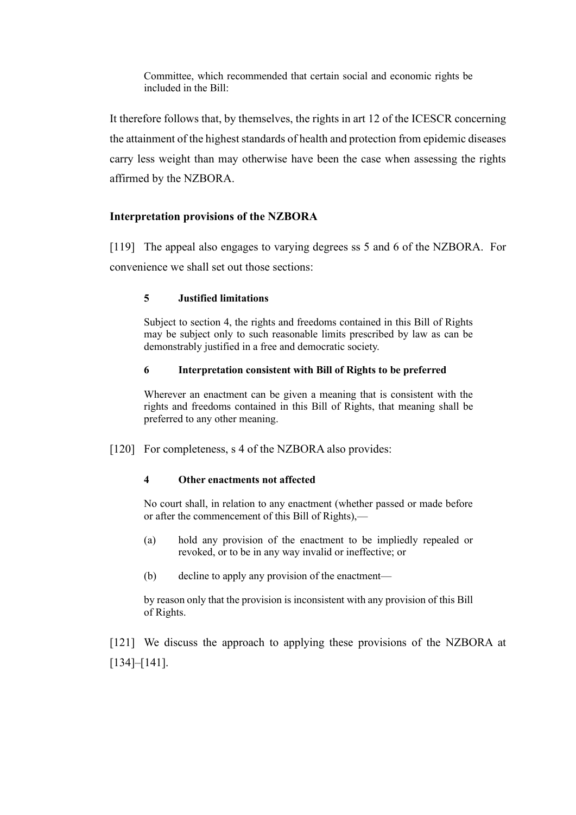Committee, which recommended that certain social and economic rights be included in the Bill:

It therefore follows that, by themselves, the rights in art 12 of the ICESCR concerning the attainment of the highest standards of health and protection from epidemic diseases carry less weight than may otherwise have been the case when assessing the rights affirmed by the NZBORA.

# **Interpretation provisions of the NZBORA**

[119] The appeal also engages to varying degrees ss 5 and 6 of the NZBORA. For convenience we shall set out those sections:

### **5 Justified limitations**

Subject to section 4, the rights and freedoms contained in this Bill of Rights may be subject only to such reasonable limits prescribed by law as can be demonstrably justified in a free and democratic society.

### **6 Interpretation consistent with Bill of Rights to be preferred**

Wherever an enactment can be given a meaning that is consistent with the rights and freedoms contained in this Bill of Rights, that meaning shall be preferred to any other meaning.

[120] For completeness, s 4 of the NZBORA also provides:

#### **4 Other enactments not affected**

No court shall, in relation to any enactment (whether passed or made before or after the commencement of this Bill of Rights),—

- (a) hold any provision of the enactment to be impliedly repealed or revoked, or to be in any way invalid or ineffective; or
- (b) decline to apply any provision of the enactment—

by reason only that the provision is inconsistent with any provision of this Bill of Rights.

[121] We discuss the approach to applying these provisions of the NZBORA at [134]–[141].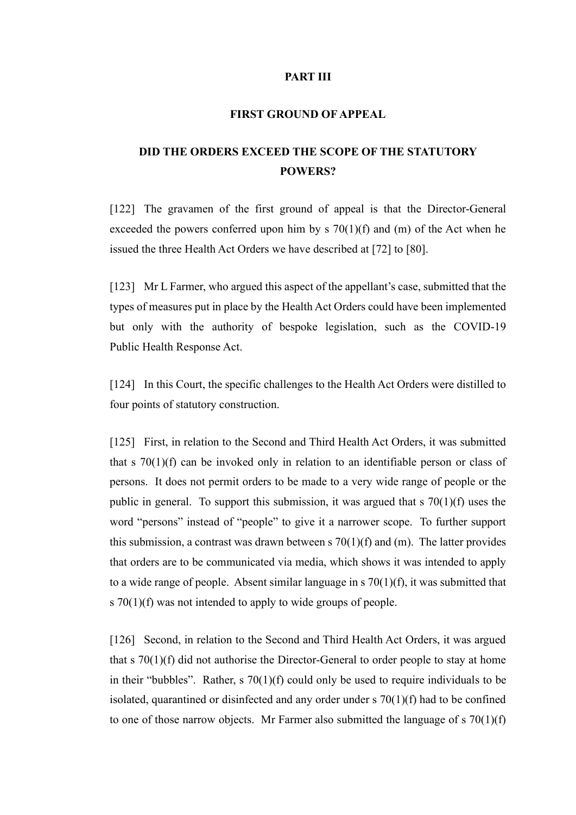#### **PART III**

#### **FIRST GROUND OF APPEAL**

# **DID THE ORDERS EXCEED THE SCOPE OF THE STATUTORY POWERS?**

[122] The gravamen of the first ground of appeal is that the Director-General exceeded the powers conferred upon him by s  $70(1)(f)$  and  $(m)$  of the Act when he issued the three Health Act Orders we have described at [72] to [80].

[123] Mr L Farmer, who argued this aspect of the appellant's case, submitted that the types of measures put in place by the Health Act Orders could have been implemented but only with the authority of bespoke legislation, such as the COVID-19 Public Health Response Act.

[124] In this Court, the specific challenges to the Health Act Orders were distilled to four points of statutory construction.

[125] First, in relation to the Second and Third Health Act Orders, it was submitted that s 70(1)(f) can be invoked only in relation to an identifiable person or class of persons. It does not permit orders to be made to a very wide range of people or the public in general. To support this submission, it was argued that s 70(1)(f) uses the word "persons" instead of "people" to give it a narrower scope. To further support this submission, a contrast was drawn between s  $70(1)(f)$  and (m). The latter provides that orders are to be communicated via media, which shows it was intended to apply to a wide range of people. Absent similar language in s 70(1)(f), it was submitted that s 70(1)(f) was not intended to apply to wide groups of people.

[126] Second, in relation to the Second and Third Health Act Orders, it was argued that s 70(1)(f) did not authorise the Director-General to order people to stay at home in their "bubbles". Rather,  $s \, 70(1)(f)$  could only be used to require individuals to be isolated, quarantined or disinfected and any order under  $s \, 70(1)(f)$  had to be confined to one of those narrow objects. Mr Farmer also submitted the language of  $s \, 70(1)(f)$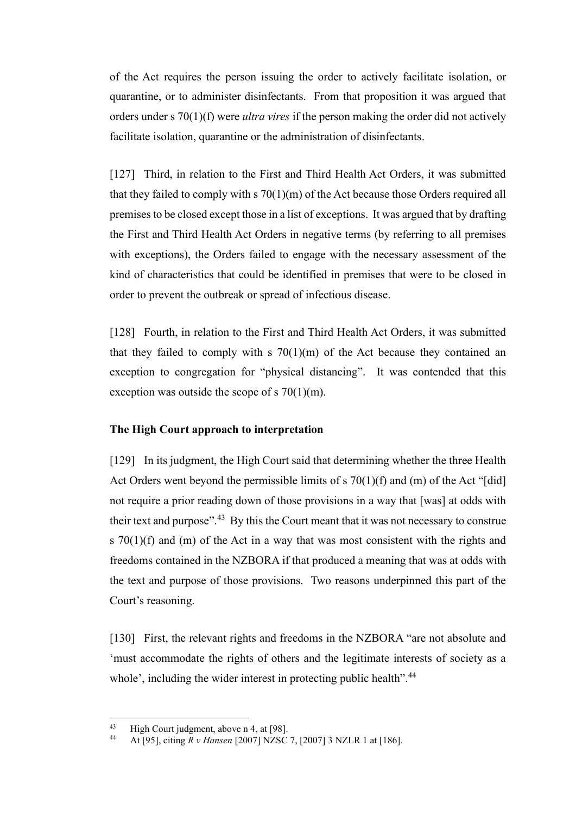of the Act requires the person issuing the order to actively facilitate isolation, or quarantine, or to administer disinfectants. From that proposition it was argued that orders under s 70(1)(f) were *ultra vires* if the person making the order did not actively facilitate isolation, quarantine or the administration of disinfectants.

[127] Third, in relation to the First and Third Health Act Orders, it was submitted that they failed to comply with  $s \frac{70(1)}{m}$  of the Act because those Orders required all premises to be closed except those in a list of exceptions. It was argued that by drafting the First and Third Health Act Orders in negative terms (by referring to all premises with exceptions), the Orders failed to engage with the necessary assessment of the kind of characteristics that could be identified in premises that were to be closed in order to prevent the outbreak or spread of infectious disease.

[128] Fourth, in relation to the First and Third Health Act Orders, it was submitted that they failed to comply with  $s$  70(1)(m) of the Act because they contained an exception to congregation for "physical distancing". It was contended that this exception was outside the scope of s  $70(1)(m)$ .

#### **The High Court approach to interpretation**

[129] In its judgment, the High Court said that determining whether the three Health Act Orders went beyond the permissible limits of  $s \, 70(1)(f)$  and  $(m)$  of the Act "[did] not require a prior reading down of those provisions in a way that [was] at odds with their text and purpose". $43$  By this the Court meant that it was not necessary to construe s 70(1)(f) and (m) of the Act in a way that was most consistent with the rights and freedoms contained in the NZBORA if that produced a meaning that was at odds with the text and purpose of those provisions. Two reasons underpinned this part of the Court's reasoning.

[130] First, the relevant rights and freedoms in the NZBORA "are not absolute and 'must accommodate the rights of others and the legitimate interests of society as a whole', including the wider interest in protecting public health".<sup>44</sup>

<sup>43</sup> High Court judgment, above n 4, at [98].<br>44 At [95] aiting  $P_y$  Hanger [2007] NZSC

<sup>44</sup> At [95], citing *R v Hansen* [2007] NZSC 7, [2007] 3 NZLR 1 at [186].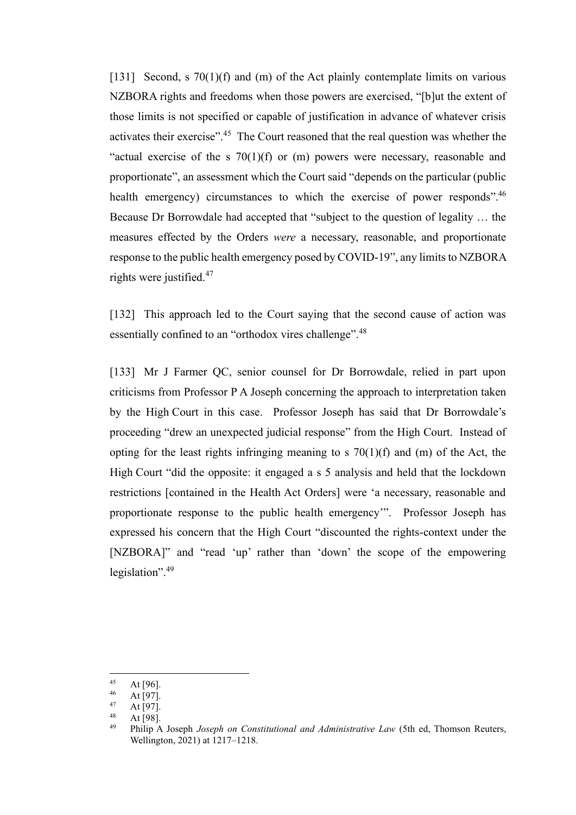[131] Second, s 70(1)(f) and (m) of the Act plainly contemplate limits on various NZBORA rights and freedoms when those powers are exercised, "[b]ut the extent of those limits is not specified or capable of justification in advance of whatever crisis activates their exercise".<sup>45</sup> The Court reasoned that the real question was whether the "actual exercise of the s  $70(1)(f)$  or (m) powers were necessary, reasonable and proportionate", an assessment which the Court said "depends on the particular (public health emergency) circumstances to which the exercise of power responds".<sup>46</sup> Because Dr Borrowdale had accepted that "subject to the question of legality … the measures effected by the Orders *were* a necessary, reasonable, and proportionate response to the public health emergency posed by COVID-19", any limits to NZBORA rights were justified.<sup>47</sup>

[132] This approach led to the Court saying that the second cause of action was essentially confined to an "orthodox vires challenge".<sup>48</sup>

[133] Mr J Farmer QC, senior counsel for Dr Borrowdale, relied in part upon criticisms from Professor P A Joseph concerning the approach to interpretation taken by the High Court in this case. Professor Joseph has said that Dr Borrowdale's proceeding "drew an unexpected judicial response" from the High Court. Instead of opting for the least rights infringing meaning to s  $70(1)(f)$  and  $(m)$  of the Act, the High Court "did the opposite: it engaged a s 5 analysis and held that the lockdown restrictions [contained in the Health Act Orders] were 'a necessary, reasonable and proportionate response to the public health emergency'". Professor Joseph has expressed his concern that the High Court "discounted the rights-context under the [NZBORA]" and "read 'up' rather than 'down' the scope of the empowering legislation".<sup>49</sup>

 $45$  At [96].

 $46$  At [97].

At [97].

 $48$  At [98].

<sup>49</sup> Philip A Joseph *Joseph on Constitutional and Administrative Law* (5th ed, Thomson Reuters, Wellington, 2021) at 1217–1218.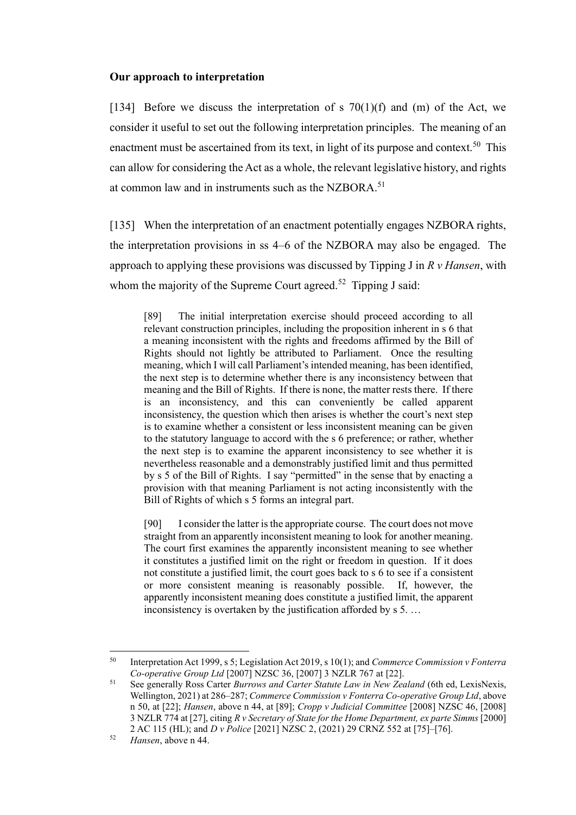#### **Our approach to interpretation**

[134] Before we discuss the interpretation of s  $70(1)(f)$  and (m) of the Act, we consider it useful to set out the following interpretation principles. The meaning of an enactment must be ascertained from its text, in light of its purpose and context.<sup>50</sup> This can allow for considering the Act as a whole, the relevant legislative history, and rights at common law and in instruments such as the NZBORA.<sup>51</sup>

[135] When the interpretation of an enactment potentially engages NZBORA rights, the interpretation provisions in ss 4–6 of the NZBORA may also be engaged. The approach to applying these provisions was discussed by Tipping J in *R v Hansen*, with whom the majority of the Supreme Court agreed.<sup>52</sup> Tipping J said:

[89] The initial interpretation exercise should proceed according to all relevant construction principles, including the proposition inherent in s 6 that a meaning inconsistent with the rights and freedoms affirmed by the Bill of Rights should not lightly be attributed to Parliament. Once the resulting meaning, which I will call Parliament's intended meaning, has been identified, the next step is to determine whether there is any inconsistency between that meaning and the Bill of Rights. If there is none, the matter rests there. If there is an inconsistency, and this can conveniently be called apparent inconsistency, the question which then arises is whether the court's next step is to examine whether a consistent or less inconsistent meaning can be given to the statutory language to accord with the s 6 preference; or rather, whether the next step is to examine the apparent inconsistency to see whether it is nevertheless reasonable and a demonstrably justified limit and thus permitted by s 5 of the Bill of Rights. I say "permitted" in the sense that by enacting a provision with that meaning Parliament is not acting inconsistently with the Bill of Rights of which s 5 forms an integral part.

[90] I consider the latter is the appropriate course. The court does not move straight from an apparently inconsistent meaning to look for another meaning. The court first examines the apparently inconsistent meaning to see whether it constitutes a justified limit on the right or freedom in question. If it does not constitute a justified limit, the court goes back to s 6 to see if a consistent or more consistent meaning is reasonably possible. If, however, the apparently inconsistent meaning does constitute a justified limit, the apparent inconsistency is overtaken by the justification afforded by s 5. …

<sup>50</sup> Interpretation Act 1999, s 5; Legislation Act 2019, s 10(1); and *Commerce Commission v Fonterra Co-operative Group Ltd* [2007] NZSC 36, [2007] 3 NZLR 767 at [22].

<sup>51</sup> See generally Ross Carter *Burrows and Carter Statute Law in New Zealand* (6th ed, LexisNexis, Wellington, 2021) at 286–287; *Commerce Commission v Fonterra Co-operative Group Ltd*, above n 50, at [22]; *Hansen*, above n 44, at [89]; *Cropp v Judicial Committee* [2008] NZSC 46, [2008] 3 NZLR 774 at [27], citing *R v Secretary of State for the Home Department, ex parte Simms* [2000] 2 AC 115 (HL); and *D v Police* [2021] NZSC 2, (2021) 29 CRNZ 552 at [75]–[76].

<sup>52</sup> *Hansen*, above n 44.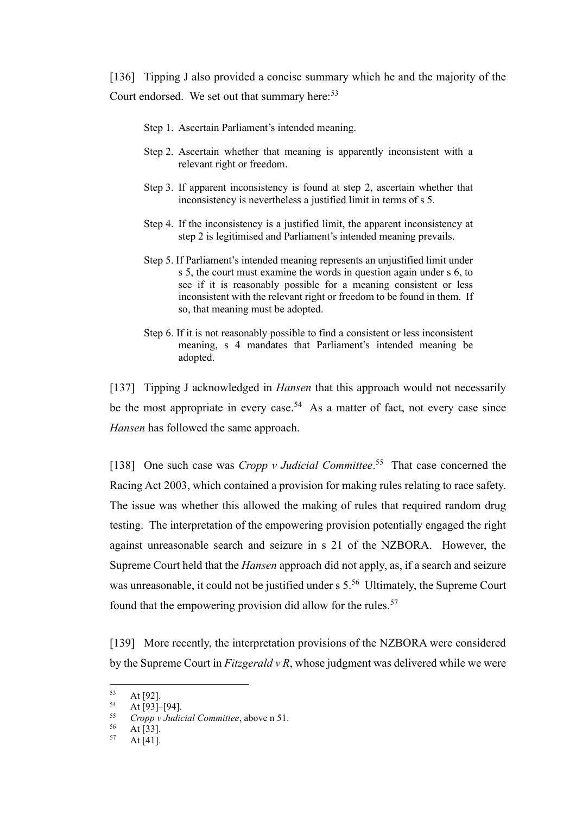[136] Tipping J also provided a concise summary which he and the majority of the Court endorsed. We set out that summary here:<sup>53</sup>

- Step 1. Ascertain Parliament's intended meaning.
- Step 2. Ascertain whether that meaning is apparently inconsistent with a relevant right or freedom.
- Step 3. If apparent inconsistency is found at step 2, ascertain whether that inconsistency is nevertheless a justified limit in terms of s 5.
- Step 4. If the inconsistency is a justified limit, the apparent inconsistency at step 2 is legitimised and Parliament's intended meaning prevails.
- Step 5. If Parliament's intended meaning represents an unjustified limit under s 5, the court must examine the words in question again under s 6, to see if it is reasonably possible for a meaning consistent or less inconsistent with the relevant right or freedom to be found in them. If so, that meaning must be adopted.
- Step 6. If it is not reasonably possible to find a consistent or less inconsistent meaning, s 4 mandates that Parliament's intended meaning be adopted.

[137] Tipping J acknowledged in *Hansen* that this approach would not necessarily be the most appropriate in every case.<sup>54</sup> As a matter of fact, not every case since *Hansen* has followed the same approach.

[138] One such case was *Cropp v Judicial Committee*.<sup>55</sup> That case concerned the Racing Act 2003, which contained a provision for making rules relating to race safety. The issue was whether this allowed the making of rules that required random drug testing. The interpretation of the empowering provision potentially engaged the right against unreasonable search and seizure in s 21 of the NZBORA. However, the Supreme Court held that the *Hansen* approach did not apply, as, if a search and seizure was unreasonable, it could not be justified under s 5.<sup>56</sup> Ultimately, the Supreme Court found that the empowering provision did allow for the rules.<sup>57</sup>

[139] More recently, the interpretation provisions of the NZBORA were considered by the Supreme Court in *Fitzgerald v R*, whose judgment was delivered while we were

 $53$  At [92].

 $54$  At [93]–[94].

<sup>55</sup> *Cropp v Judicial Committee*, above n 51.

 $56$  At [33].

At  $[41]$ .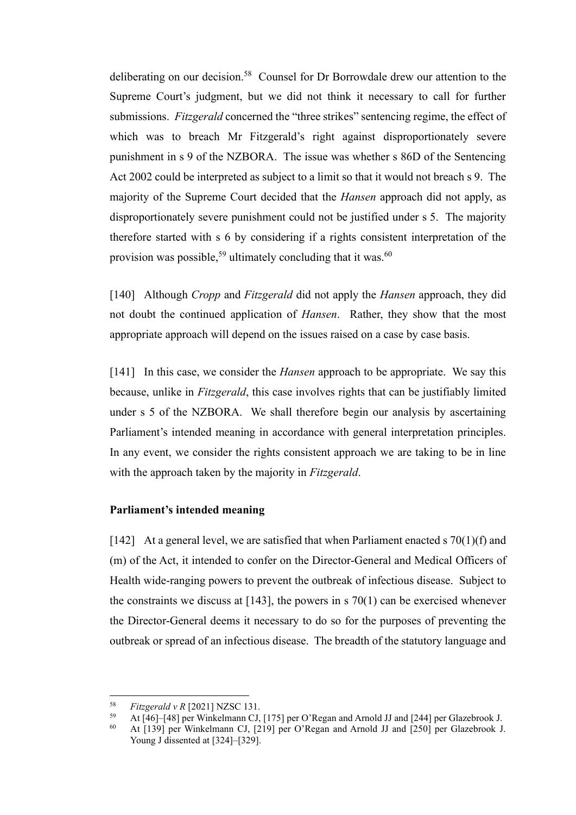deliberating on our decision.<sup>58</sup> Counsel for Dr Borrowdale drew our attention to the Supreme Court's judgment, but we did not think it necessary to call for further submissions. *Fitzgerald* concerned the "three strikes" sentencing regime, the effect of which was to breach Mr Fitzgerald's right against disproportionately severe punishment in s 9 of the NZBORA. The issue was whether s 86D of the Sentencing Act 2002 could be interpreted as subject to a limit so that it would not breach s 9. The majority of the Supreme Court decided that the *Hansen* approach did not apply, as disproportionately severe punishment could not be justified under s 5. The majority therefore started with s 6 by considering if a rights consistent interpretation of the provision was possible,<sup>59</sup> ultimately concluding that it was.<sup>60</sup>

[140] Although *Cropp* and *Fitzgerald* did not apply the *Hansen* approach, they did not doubt the continued application of *Hansen*. Rather, they show that the most appropriate approach will depend on the issues raised on a case by case basis.

[141] In this case, we consider the *Hansen* approach to be appropriate. We say this because, unlike in *Fitzgerald*, this case involves rights that can be justifiably limited under s 5 of the NZBORA. We shall therefore begin our analysis by ascertaining Parliament's intended meaning in accordance with general interpretation principles. In any event, we consider the rights consistent approach we are taking to be in line with the approach taken by the majority in *Fitzgerald*.

#### **Parliament's intended meaning**

[142] At a general level, we are satisfied that when Parliament enacted s  $70(1)(f)$  and (m) of the Act, it intended to confer on the Director-General and Medical Officers of Health wide-ranging powers to prevent the outbreak of infectious disease. Subject to the constraints we discuss at  $[143]$ , the powers in s  $70(1)$  can be exercised whenever the Director-General deems it necessary to do so for the purposes of preventing the outbreak or spread of an infectious disease. The breadth of the statutory language and

<sup>58</sup> *Fitzgerald v R* [2021] NZSC 131.

<sup>59</sup> At [46]–[48] per Winkelmann CJ, [175] per O'Regan and Arnold JJ and [244] per Glazebrook J.<br>60 At [130] per Winkelmann CJ, [210] per O'Began and Arnold JJ and [250] per Glazebrook J.

<sup>60</sup> At [139] per Winkelmann CJ, [219] per O'Regan and Arnold JJ and [250] per Glazebrook J. Young J dissented at [324]–[329].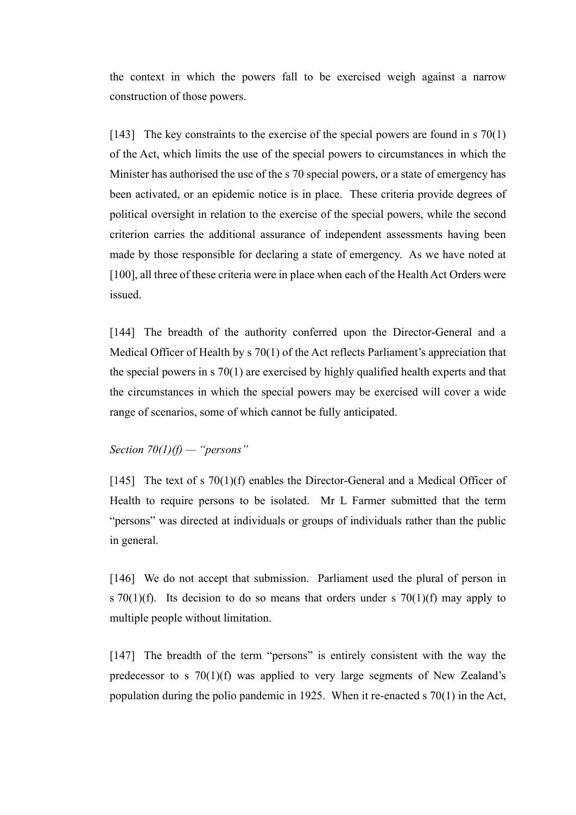the context in which the powers fall to be exercised weigh against a narrow construction of those powers.

[143] The key constraints to the exercise of the special powers are found in s 70(1) of the Act, which limits the use of the special powers to circumstances in which the Minister has authorised the use of the s 70 special powers, or a state of emergency has been activated, or an epidemic notice is in place. These criteria provide degrees of political oversight in relation to the exercise of the special powers, while the second criterion carries the additional assurance of independent assessments having been made by those responsible for declaring a state of emergency. As we have noted at [100], all three of these criteria were in place when each of the Health Act Orders were issued.

[144] The breadth of the authority conferred upon the Director-General and a Medical Officer of Health by s 70(1) of the Act reflects Parliament's appreciation that the special powers in s 70(1) are exercised by highly qualified health experts and that the circumstances in which the special powers may be exercised will cover a wide range of scenarios, some of which cannot be fully anticipated.

# *Section 70(1)(f) — "persons"*

[145] The text of s 70(1)(f) enables the Director-General and a Medical Officer of Health to require persons to be isolated. Mr L Farmer submitted that the term "persons" was directed at individuals or groups of individuals rather than the public in general.

[146] We do not accept that submission. Parliament used the plural of person in s 70(1)(f). Its decision to do so means that orders under s 70(1)(f) may apply to multiple people without limitation.

[147] The breadth of the term "persons" is entirely consistent with the way the predecessor to s  $70(1)(f)$  was applied to very large segments of New Zealand's population during the polio pandemic in 1925. When it re-enacted s 70(1) in the Act,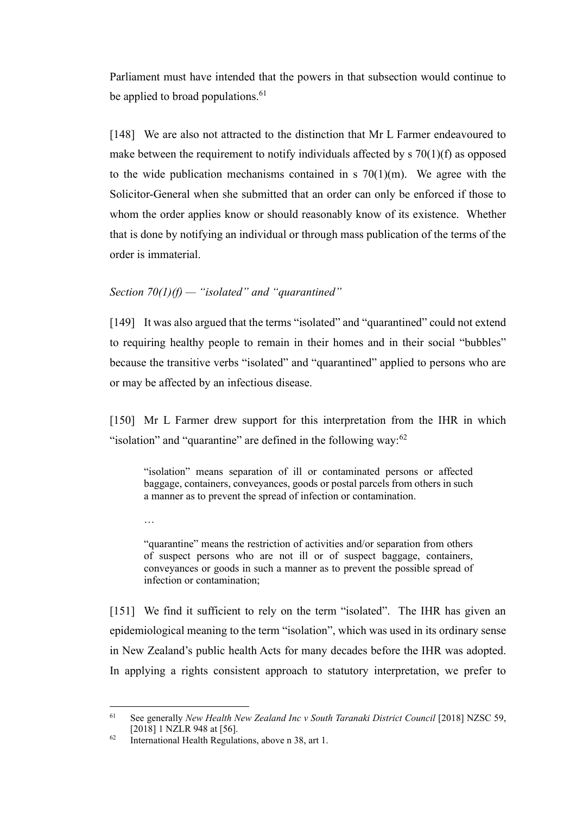Parliament must have intended that the powers in that subsection would continue to be applied to broad populations.<sup>61</sup>

[148] We are also not attracted to the distinction that Mr L Farmer endeavoured to make between the requirement to notify individuals affected by  $\frac{s}{20(1)}$  f) as opposed to the wide publication mechanisms contained in s  $70(1)(m)$ . We agree with the Solicitor-General when she submitted that an order can only be enforced if those to whom the order applies know or should reasonably know of its existence. Whether that is done by notifying an individual or through mass publication of the terms of the order is immaterial.

# *Section 70(1)(f) — "isolated" and "quarantined"*

[149] It was also argued that the terms "isolated" and "quarantined" could not extend to requiring healthy people to remain in their homes and in their social "bubbles" because the transitive verbs "isolated" and "quarantined" applied to persons who are or may be affected by an infectious disease.

[150] Mr L Farmer drew support for this interpretation from the IHR in which "isolation" and "quarantine" are defined in the following way:  $62$ 

"isolation" means separation of ill or contaminated persons or affected baggage, containers, conveyances, goods or postal parcels from others in such a manner as to prevent the spread of infection or contamination.

…

"quarantine" means the restriction of activities and/or separation from others of suspect persons who are not ill or of suspect baggage, containers, conveyances or goods in such a manner as to prevent the possible spread of infection or contamination;

[151] We find it sufficient to rely on the term "isolated". The IHR has given an epidemiological meaning to the term "isolation", which was used in its ordinary sense in New Zealand's public health Acts for many decades before the IHR was adopted. In applying a rights consistent approach to statutory interpretation, we prefer to

<sup>61</sup> See generally *New Health New Zealand Inc v South Taranaki District Council* [2018] NZSC 59, [2018] 1 NZLR 948 at [56].

<sup>&</sup>lt;sup>62</sup> International Health Regulations, above n 38, art 1.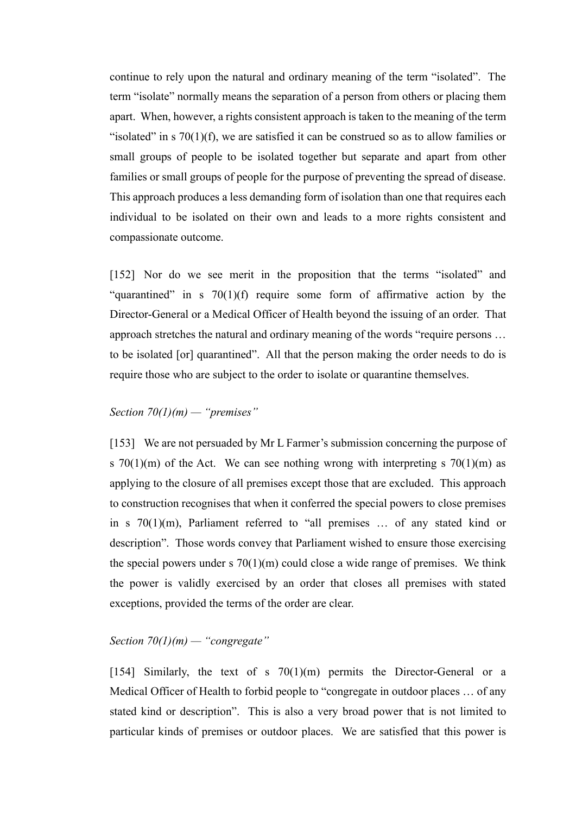continue to rely upon the natural and ordinary meaning of the term "isolated". The term "isolate" normally means the separation of a person from others or placing them apart. When, however, a rights consistent approach is taken to the meaning of the term "isolated" in s  $70(1)(f)$ , we are satisfied it can be construed so as to allow families or small groups of people to be isolated together but separate and apart from other families or small groups of people for the purpose of preventing the spread of disease. This approach produces a less demanding form of isolation than one that requires each individual to be isolated on their own and leads to a more rights consistent and compassionate outcome.

[152] Nor do we see merit in the proposition that the terms "isolated" and "quarantined" in s  $70(1)(f)$  require some form of affirmative action by the Director-General or a Medical Officer of Health beyond the issuing of an order. That approach stretches the natural and ordinary meaning of the words "require persons … to be isolated [or] quarantined". All that the person making the order needs to do is require those who are subject to the order to isolate or quarantine themselves.

# *Section 70(1)(m) — "premises"*

[153] We are not persuaded by Mr L Farmer's submission concerning the purpose of s  $70(1)(m)$  of the Act. We can see nothing wrong with interpreting s  $70(1)(m)$  as applying to the closure of all premises except those that are excluded. This approach to construction recognises that when it conferred the special powers to close premises in s 70(1)(m), Parliament referred to "all premises … of any stated kind or description". Those words convey that Parliament wished to ensure those exercising the special powers under s  $70(1)(m)$  could close a wide range of premises. We think the power is validly exercised by an order that closes all premises with stated exceptions, provided the terms of the order are clear.

### *Section 70(1)(m) — "congregate"*

[154] Similarly, the text of s  $70(1)(m)$  permits the Director-General or a Medical Officer of Health to forbid people to "congregate in outdoor places … of any stated kind or description". This is also a very broad power that is not limited to particular kinds of premises or outdoor places. We are satisfied that this power is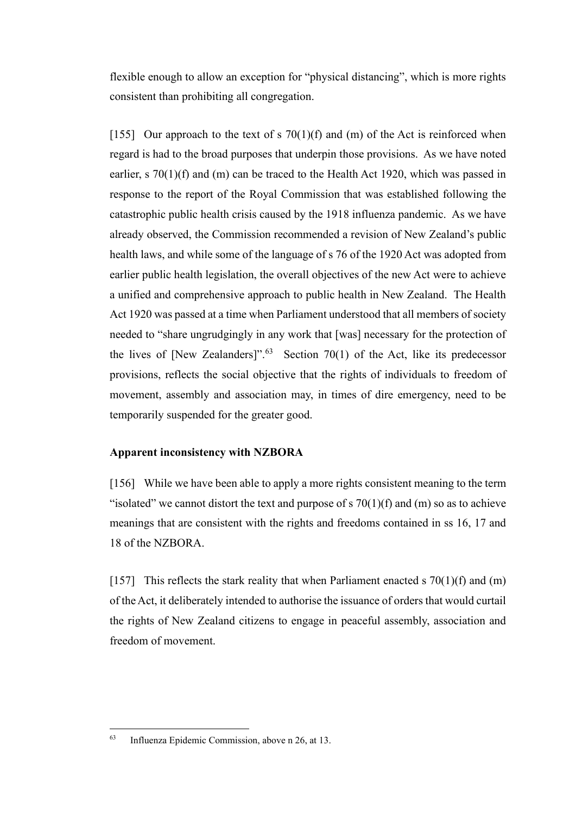flexible enough to allow an exception for "physical distancing", which is more rights consistent than prohibiting all congregation.

[155] Our approach to the text of s  $70(1)(f)$  and  $(m)$  of the Act is reinforced when regard is had to the broad purposes that underpin those provisions. As we have noted earlier, s 70(1)(f) and (m) can be traced to the Health Act 1920, which was passed in response to the report of the Royal Commission that was established following the catastrophic public health crisis caused by the 1918 influenza pandemic. As we have already observed, the Commission recommended a revision of New Zealand's public health laws, and while some of the language of s 76 of the 1920 Act was adopted from earlier public health legislation, the overall objectives of the new Act were to achieve a unified and comprehensive approach to public health in New Zealand. The Health Act 1920 was passed at a time when Parliament understood that all members of society needed to "share ungrudgingly in any work that [was] necessary for the protection of the lives of [New Zealanders]".<sup>63</sup> Section 70(1) of the Act, like its predecessor provisions, reflects the social objective that the rights of individuals to freedom of movement, assembly and association may, in times of dire emergency, need to be temporarily suspended for the greater good.

# **Apparent inconsistency with NZBORA**

[156] While we have been able to apply a more rights consistent meaning to the term "isolated" we cannot distort the text and purpose of s  $70(1)(f)$  and (m) so as to achieve meanings that are consistent with the rights and freedoms contained in ss 16, 17 and 18 of the NZBORA.

[157] This reflects the stark reality that when Parliament enacted s  $70(1)(f)$  and  $(m)$ of the Act, it deliberately intended to authorise the issuance of orders that would curtail the rights of New Zealand citizens to engage in peaceful assembly, association and freedom of movement.

<sup>63</sup> Influenza Epidemic Commission, above n 26, at 13.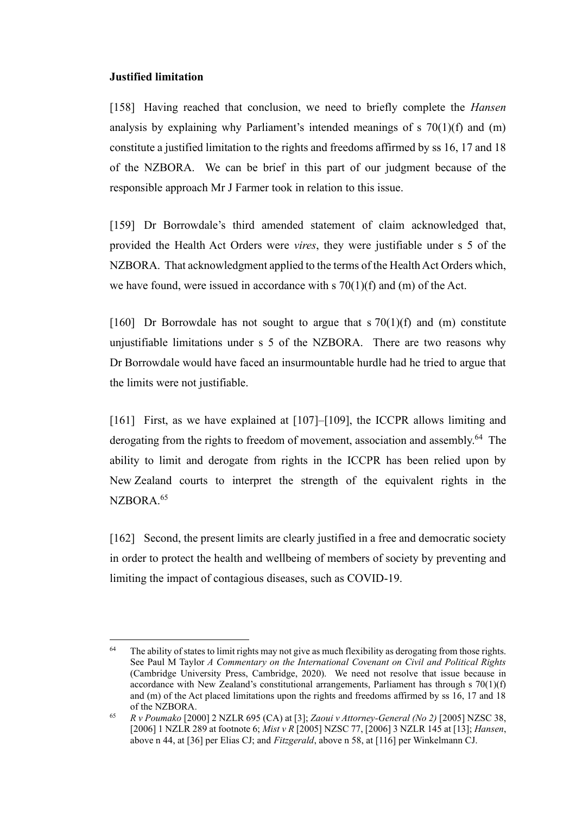### **Justified limitation**

[158] Having reached that conclusion, we need to briefly complete the *Hansen* analysis by explaining why Parliament's intended meanings of  $s$  70(1)(f) and (m) constitute a justified limitation to the rights and freedoms affirmed by ss 16, 17 and 18 of the NZBORA. We can be brief in this part of our judgment because of the responsible approach Mr J Farmer took in relation to this issue.

[159] Dr Borrowdale's third amended statement of claim acknowledged that, provided the Health Act Orders were *vires*, they were justifiable under s 5 of the NZBORA. That acknowledgment applied to the terms of the Health Act Orders which, we have found, were issued in accordance with  $\sigma$  70(1)(f) and (m) of the Act.

[160] Dr Borrowdale has not sought to argue that  $s \, 70(1)(f)$  and (m) constitute unjustifiable limitations under s 5 of the NZBORA. There are two reasons why Dr Borrowdale would have faced an insurmountable hurdle had he tried to argue that the limits were not justifiable.

[161] First, as we have explained at [107]–[109], the ICCPR allows limiting and derogating from the rights to freedom of movement, association and assembly.<sup>64</sup> The ability to limit and derogate from rights in the ICCPR has been relied upon by New Zealand courts to interpret the strength of the equivalent rights in the NZBORA.<sup>65</sup>

[162] Second, the present limits are clearly justified in a free and democratic society in order to protect the health and wellbeing of members of society by preventing and limiting the impact of contagious diseases, such as COVID-19.

<sup>&</sup>lt;sup>64</sup> The ability of states to limit rights may not give as much flexibility as derogating from those rights. See Paul M Taylor *A Commentary on the International Covenant on Civil and Political Rights* (Cambridge University Press, Cambridge, 2020). We need not resolve that issue because in accordance with New Zealand's constitutional arrangements, Parliament has through s  $70(1)(f)$ and (m) of the Act placed limitations upon the rights and freedoms affirmed by ss 16, 17 and 18 of the NZBORA.

<sup>65</sup> *R v Poumako* [2000] 2 NZLR 695 (CA) at [3]; *Zaoui v Attorney-General (No 2)* [2005] NZSC 38, [2006] 1 NZLR 289 at footnote 6; *Mist v R* [2005] NZSC 77, [2006] 3 NZLR 145 at [13]; *Hansen*, above n 44, at [36] per Elias CJ; and *Fitzgerald*, above n 58, at [116] per Winkelmann CJ.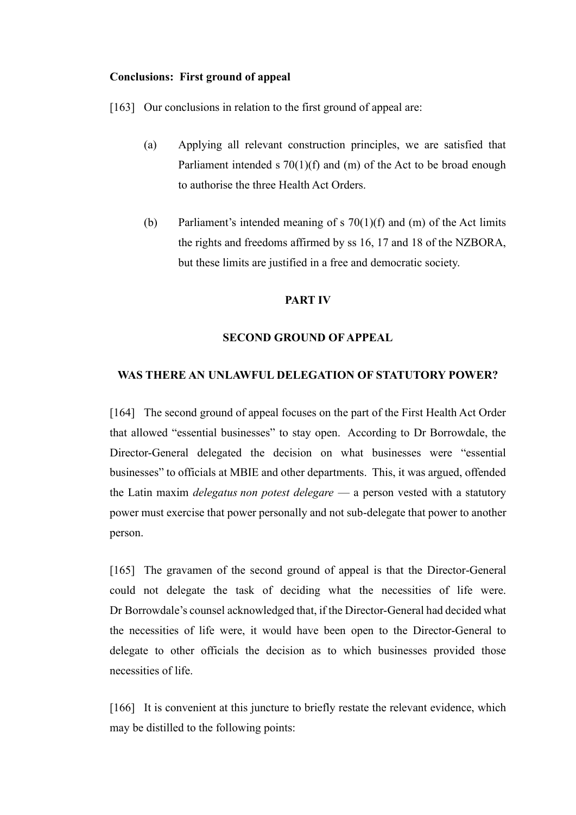### **Conclusions: First ground of appeal**

[163] Our conclusions in relation to the first ground of appeal are:

- (a) Applying all relevant construction principles, we are satisfied that Parliament intended s 70(1)(f) and (m) of the Act to be broad enough to authorise the three Health Act Orders.
- (b) Parliament's intended meaning of s  $70(1)(f)$  and (m) of the Act limits the rights and freedoms affirmed by ss 16, 17 and 18 of the NZBORA, but these limits are justified in a free and democratic society.

#### **PART IV**

#### **SECOND GROUND OF APPEAL**

#### **WAS THERE AN UNLAWFUL DELEGATION OF STATUTORY POWER?**

[164] The second ground of appeal focuses on the part of the First Health Act Order that allowed "essential businesses" to stay open. According to Dr Borrowdale, the Director-General delegated the decision on what businesses were "essential businesses" to officials at MBIE and other departments. This, it was argued, offended the Latin maxim *delegatus non potest delegare* — a person vested with a statutory power must exercise that power personally and not sub-delegate that power to another person.

[165] The gravamen of the second ground of appeal is that the Director-General could not delegate the task of deciding what the necessities of life were. Dr Borrowdale's counsel acknowledged that, if the Director-General had decided what the necessities of life were, it would have been open to the Director-General to delegate to other officials the decision as to which businesses provided those necessities of life.

[166] It is convenient at this juncture to briefly restate the relevant evidence, which may be distilled to the following points: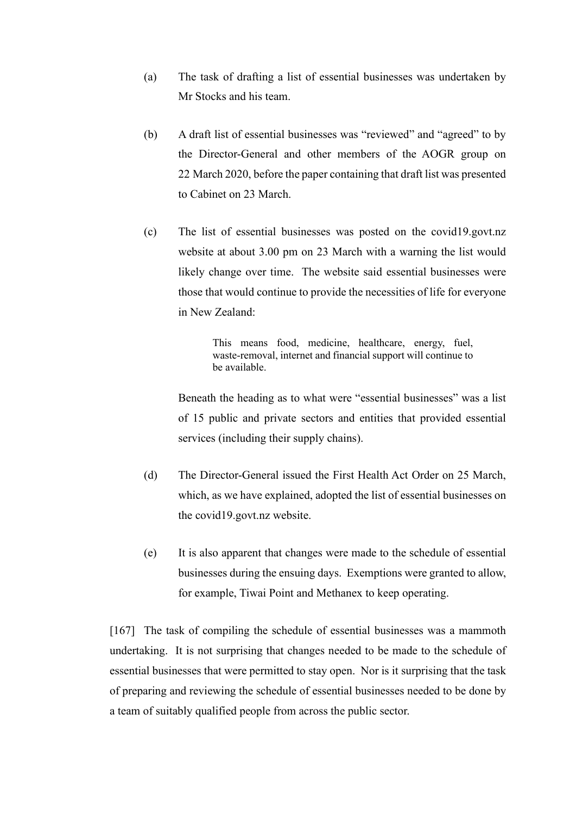- (a) The task of drafting a list of essential businesses was undertaken by Mr Stocks and his team.
- (b) A draft list of essential businesses was "reviewed" and "agreed" to by the Director-General and other members of the AOGR group on 22 March 2020, before the paper containing that draft list was presented to Cabinet on 23 March.
- (c) The list of essential businesses was posted on the covid19.govt.nz website at about 3.00 pm on 23 March with a warning the list would likely change over time. The website said essential businesses were those that would continue to provide the necessities of life for everyone in New Zealand:

This means food, medicine, healthcare, energy, fuel, waste-removal, internet and financial support will continue to be available.

Beneath the heading as to what were "essential businesses" was a list of 15 public and private sectors and entities that provided essential services (including their supply chains).

- (d) The Director-General issued the First Health Act Order on 25 March, which, as we have explained, adopted the list of essential businesses on the covid19.govt.nz website.
- (e) It is also apparent that changes were made to the schedule of essential businesses during the ensuing days. Exemptions were granted to allow, for example, Tiwai Point and Methanex to keep operating.

[167] The task of compiling the schedule of essential businesses was a mammoth undertaking. It is not surprising that changes needed to be made to the schedule of essential businesses that were permitted to stay open. Nor is it surprising that the task of preparing and reviewing the schedule of essential businesses needed to be done by a team of suitably qualified people from across the public sector.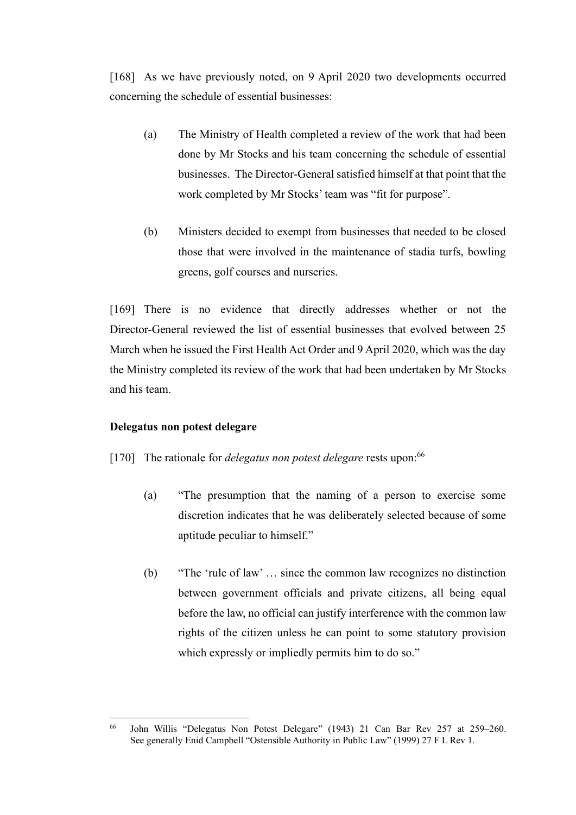[168] As we have previously noted, on 9 April 2020 two developments occurred concerning the schedule of essential businesses:

- (a) The Ministry of Health completed a review of the work that had been done by Mr Stocks and his team concerning the schedule of essential businesses. The Director-General satisfied himself at that point that the work completed by Mr Stocks' team was "fit for purpose".
- (b) Ministers decided to exempt from businesses that needed to be closed those that were involved in the maintenance of stadia turfs, bowling greens, golf courses and nurseries.

[169] There is no evidence that directly addresses whether or not the Director-General reviewed the list of essential businesses that evolved between 25 March when he issued the First Health Act Order and 9 April 2020, which was the day the Ministry completed its review of the work that had been undertaken by Mr Stocks and his team.

# **Delegatus non potest delegare**

- [170] The rationale for *delegatus non potest delegare* rests upon:<sup>66</sup>
	- (a) "The presumption that the naming of a person to exercise some discretion indicates that he was deliberately selected because of some aptitude peculiar to himself."
	- (b) "The 'rule of law' … since the common law recognizes no distinction between government officials and private citizens, all being equal before the law, no official can justify interference with the common law rights of the citizen unless he can point to some statutory provision which expressly or impliedly permits him to do so."

<sup>66</sup> John Willis "Delegatus Non Potest Delegare" (1943) 21 Can Bar Rev 257 at 259–260. See generally Enid Campbell "Ostensible Authority in Public Law" (1999) 27 F L Rev 1.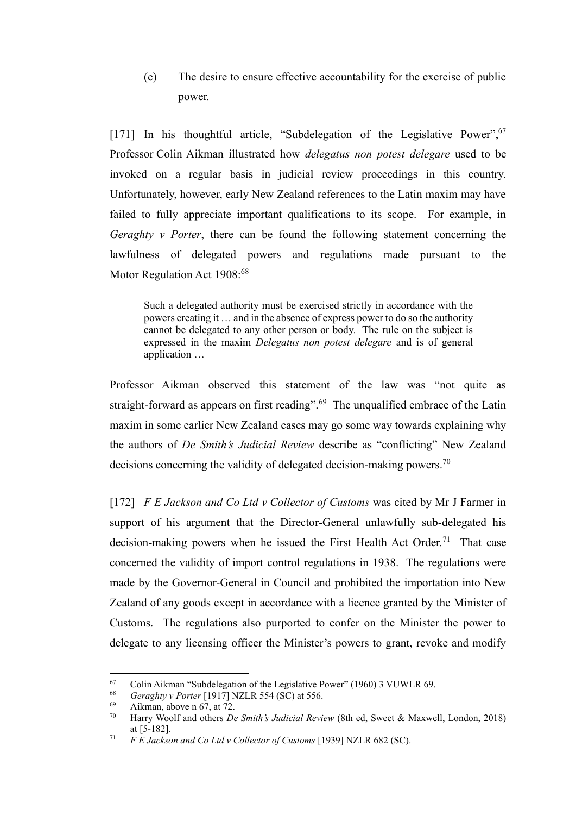(c) The desire to ensure effective accountability for the exercise of public power.

[171] In his thoughtful article, "Subdelegation of the Legislative Power", <sup>67</sup> Professor Colin Aikman illustrated how *delegatus non potest delegare* used to be invoked on a regular basis in judicial review proceedings in this country. Unfortunately, however, early New Zealand references to the Latin maxim may have failed to fully appreciate important qualifications to its scope. For example, in *Geraghty v Porter*, there can be found the following statement concerning the lawfulness of delegated powers and regulations made pursuant to the Motor Regulation Act 1908:<sup>68</sup>

Such a delegated authority must be exercised strictly in accordance with the powers creating it … and in the absence of express power to do so the authority cannot be delegated to any other person or body. The rule on the subject is expressed in the maxim *Delegatus non potest delegare* and is of general application …

Professor Aikman observed this statement of the law was "not quite as straight-forward as appears on first reading".<sup>69</sup> The unqualified embrace of the Latin maxim in some earlier New Zealand cases may go some way towards explaining why the authors of *De Smith's Judicial Review* describe as "conflicting" New Zealand decisions concerning the validity of delegated decision-making powers.<sup>70</sup>

[172] *F E Jackson and Co Ltd v Collector of Customs* was cited by Mr J Farmer in support of his argument that the Director-General unlawfully sub-delegated his decision-making powers when he issued the First Health Act Order.<sup>71</sup> That case concerned the validity of import control regulations in 1938. The regulations were made by the Governor-General in Council and prohibited the importation into New Zealand of any goods except in accordance with a licence granted by the Minister of Customs. The regulations also purported to confer on the Minister the power to delegate to any licensing officer the Minister's powers to grant, revoke and modify

<sup>67</sup> Colin Aikman "Subdelegation of the Legislative Power" (1960) 3 VUWLR 69.<br>  $Gevachy_1$  Porter [1917] NZI P 554 (SC) at 556

<sup>&</sup>lt;sup>68</sup> *Geraghty v Porter* [1917] NZLR 554 (SC) at 556.<br><sup>69</sup> Ailman, above n 67, at 72.

Aikman, above n 67, at 72.

<sup>70</sup> Harry Woolf and others *De Smith's Judicial Review* (8th ed, Sweet & Maxwell, London, 2018) at [5-182].

<sup>71</sup> *F E Jackson and Co Ltd v Collector of Customs* [1939] NZLR 682 (SC).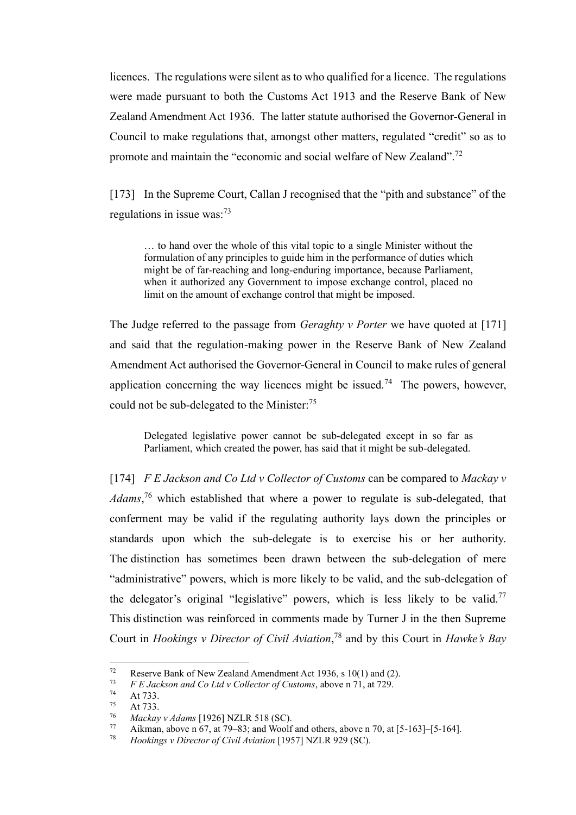licences. The regulations were silent as to who qualified for a licence. The regulations were made pursuant to both the Customs Act 1913 and the Reserve Bank of New Zealand Amendment Act 1936. The latter statute authorised the Governor-General in Council to make regulations that, amongst other matters, regulated "credit" so as to promote and maintain the "economic and social welfare of New Zealand".<sup>72</sup>

[173] In the Supreme Court, Callan J recognised that the "pith and substance" of the regulations in issue was: $^{73}$ 

… to hand over the whole of this vital topic to a single Minister without the formulation of any principles to guide him in the performance of duties which might be of far-reaching and long-enduring importance, because Parliament, when it authorized any Government to impose exchange control, placed no limit on the amount of exchange control that might be imposed.

The Judge referred to the passage from *Geraghty v Porter* we have quoted at [171] and said that the regulation-making power in the Reserve Bank of New Zealand Amendment Act authorised the Governor-General in Council to make rules of general application concerning the way licences might be issued.<sup>74</sup> The powers, however, could not be sub-delegated to the Minister:<sup>75</sup>

Delegated legislative power cannot be sub-delegated except in so far as Parliament, which created the power, has said that it might be sub-delegated.

[174] *F E Jackson and Co Ltd v Collector of Customs* can be compared to *Mackay v Adams*, <sup>76</sup> which established that where a power to regulate is sub-delegated, that conferment may be valid if the regulating authority lays down the principles or standards upon which the sub-delegate is to exercise his or her authority. The distinction has sometimes been drawn between the sub-delegation of mere "administrative" powers, which is more likely to be valid, and the sub-delegation of the delegator's original "legislative" powers, which is less likely to be valid.<sup>77</sup> This distinction was reinforced in comments made by Turner J in the then Supreme Court in *Hookings v Director of Civil Aviation*, <sup>78</sup> and by this Court in *Hawke's Bay* 

<sup>72</sup> Reserve Bank of New Zealand Amendment Act 1936, s 10(1) and (2).<br> $F_{\rm F}$  Lackson and Co I td. Collector of Customs, shown p 71, st 720

<sup>73</sup> *F E Jackson and Co Ltd v Collector of Customs*, above n 71, at 729.

 $74$  At 733.

At 733.

<sup>76</sup> *Mackay v Adams* [1926] NZLR 518 (SC).

<sup>77</sup> Aikman, above n 67, at 79–83; and Woolf and others, above n 70, at  $[5-163]$ – $[5-164]$ .<br><sup>78</sup> Hookings y Director of Civil Aviation [1957] NZI R 929 (SC)

<sup>78</sup> *Hookings v Director of Civil Aviation* [1957] NZLR 929 (SC).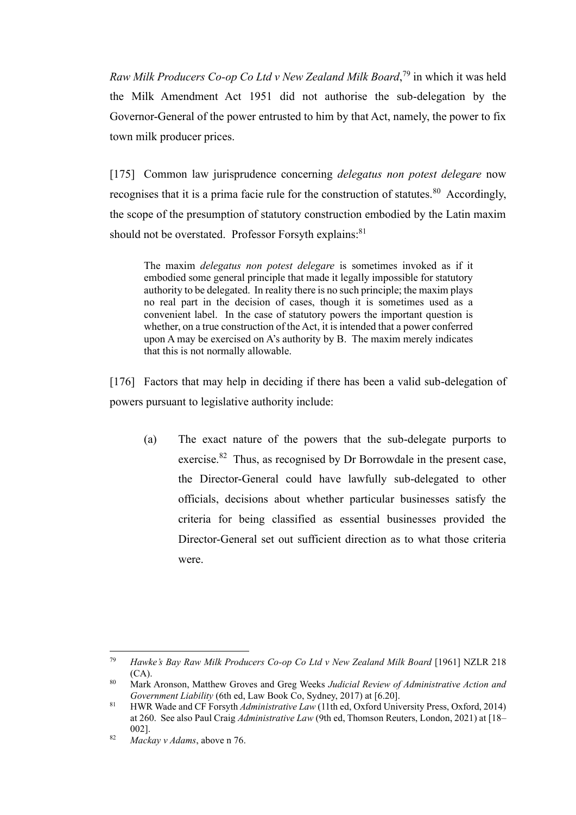*Raw Milk Producers Co-op Co Ltd v New Zealand Milk Board*, <sup>79</sup> in which it was held the Milk Amendment Act 1951 did not authorise the sub-delegation by the Governor-General of the power entrusted to him by that Act, namely, the power to fix town milk producer prices.

[175] Common law jurisprudence concerning *delegatus non potest delegare* now recognises that it is a prima facie rule for the construction of statutes.<sup>80</sup> Accordingly, the scope of the presumption of statutory construction embodied by the Latin maxim should not be overstated. Professor Forsyth explains:<sup>81</sup>

The maxim *delegatus non potest delegare* is sometimes invoked as if it embodied some general principle that made it legally impossible for statutory authority to be delegated. In reality there is no such principle; the maxim plays no real part in the decision of cases, though it is sometimes used as a convenient label. In the case of statutory powers the important question is whether, on a true construction of the Act, it is intended that a power conferred upon A may be exercised on A's authority by B. The maxim merely indicates that this is not normally allowable.

[176] Factors that may help in deciding if there has been a valid sub-delegation of powers pursuant to legislative authority include:

(a) The exact nature of the powers that the sub-delegate purports to exercise.<sup>82</sup> Thus, as recognised by Dr Borrowdale in the present case, the Director-General could have lawfully sub-delegated to other officials, decisions about whether particular businesses satisfy the criteria for being classified as essential businesses provided the Director-General set out sufficient direction as to what those criteria were.

<sup>79</sup> *Hawke's Bay Raw Milk Producers Co-op Co Ltd v New Zealand Milk Board* [1961] NZLR 218 (CA).

<sup>80</sup> Mark Aronson, Matthew Groves and Greg Weeks *Judicial Review of Administrative Action and Government Liability* (6th ed, Law Book Co, Sydney, 2017) at [6.20].

<sup>81</sup> HWR Wade and CF Forsyth *Administrative Law* (11th ed, Oxford University Press, Oxford, 2014) at 260. See also Paul Craig *Administrative Law* (9th ed, Thomson Reuters, London, 2021) at [18– 002].

<sup>82</sup> *Mackay v Adams*, above n 76.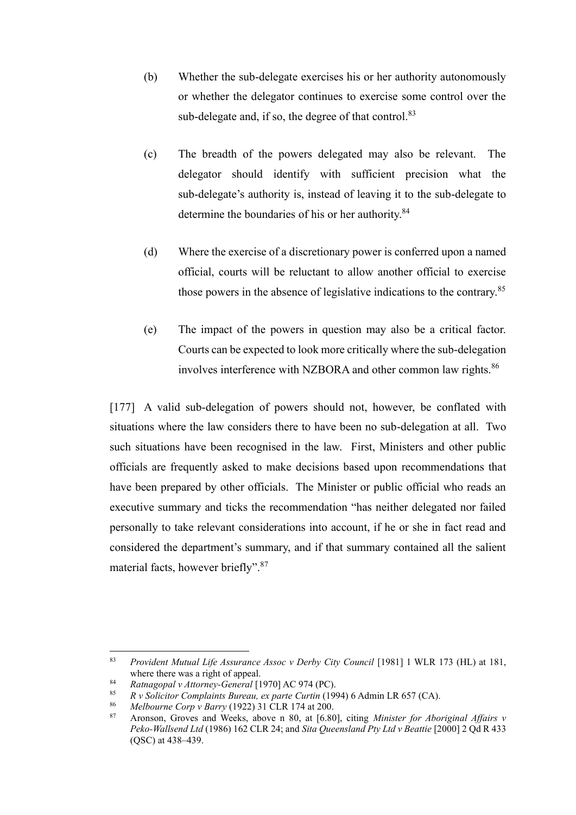- (b) Whether the sub-delegate exercises his or her authority autonomously or whether the delegator continues to exercise some control over the sub-delegate and, if so, the degree of that control.<sup>83</sup>
- (c) The breadth of the powers delegated may also be relevant. The delegator should identify with sufficient precision what the sub-delegate's authority is, instead of leaving it to the sub-delegate to determine the boundaries of his or her authority.<sup>84</sup>
- (d) Where the exercise of a discretionary power is conferred upon a named official, courts will be reluctant to allow another official to exercise those powers in the absence of legislative indications to the contrary.<sup>85</sup>
- (e) The impact of the powers in question may also be a critical factor. Courts can be expected to look more critically where the sub-delegation involves interference with NZBORA and other common law rights.<sup>86</sup>

[177] A valid sub-delegation of powers should not, however, be conflated with situations where the law considers there to have been no sub-delegation at all. Two such situations have been recognised in the law. First, Ministers and other public officials are frequently asked to make decisions based upon recommendations that have been prepared by other officials. The Minister or public official who reads an executive summary and ticks the recommendation "has neither delegated nor failed personally to take relevant considerations into account, if he or she in fact read and considered the department's summary, and if that summary contained all the salient material facts, however briefly".<sup>87</sup>

<sup>83</sup> *Provident Mutual Life Assurance Assoc v Derby City Council* [1981] 1 WLR 173 (HL) at 181, where there was a right of appeal.

<sup>84</sup> *Ratnagopal v Attorney-General* [1970] AC 974 (PC).

<sup>85</sup> *R v Solicitor Complaints Bureau, ex parte Curtin* (1994) 6 Admin LR 657 (CA).

<sup>86</sup> *Melbourne Corp v Barry* (1922) 31 CLR 174 at 200.

<sup>87</sup> Aronson, Groves and Weeks, above n 80, at [6.80], citing *Minister for Aboriginal Affairs v Peko-Wallsend Ltd* (1986) 162 CLR 24; and *Sita Queensland Pty Ltd v Beattie* [2000] 2 Qd R 433 (QSC) at 438–439.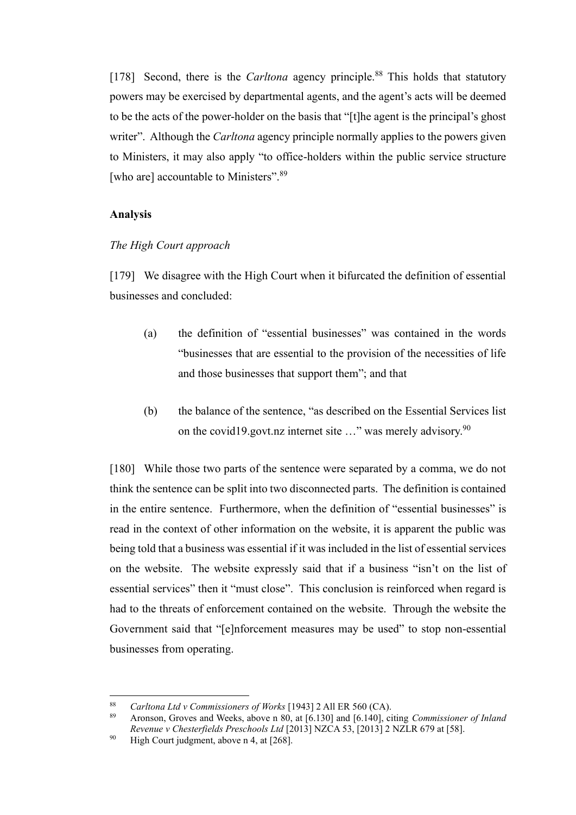[178] Second, there is the *Carltona* agency principle.<sup>88</sup> This holds that statutory powers may be exercised by departmental agents, and the agent's acts will be deemed to be the acts of the power-holder on the basis that "[t]he agent is the principal's ghost writer". Although the *Carltona* agency principle normally applies to the powers given to Ministers, it may also apply "to office-holders within the public service structure [who are] accountable to Ministers".<sup>89</sup>

#### **Analysis**

#### *The High Court approach*

[179] We disagree with the High Court when it bifurcated the definition of essential businesses and concluded:

- (a) the definition of "essential businesses" was contained in the words "businesses that are essential to the provision of the necessities of life and those businesses that support them"; and that
- (b) the balance of the sentence, "as described on the Essential Services list on the covid19.govt.nz internet site  $\ldots$ " was merely advisory.<sup>90</sup>

[180] While those two parts of the sentence were separated by a comma, we do not think the sentence can be split into two disconnected parts. The definition is contained in the entire sentence. Furthermore, when the definition of "essential businesses" is read in the context of other information on the website, it is apparent the public was being told that a business was essential if it was included in the list of essential services on the website. The website expressly said that if a business "isn't on the list of essential services" then it "must close". This conclusion is reinforced when regard is had to the threats of enforcement contained on the website. Through the website the Government said that "[e]nforcement measures may be used" to stop non-essential businesses from operating.

<sup>88</sup> *Carltona Ltd v Commissioners of Works* [1943] 2 All ER 560 (CA).

<sup>89</sup> Aronson, Groves and Weeks, above n 80, at [6.130] and [6.140], citing *Commissioner of Inland Revenue v Chesterfields Preschools Ltd* [2013] NZCA 53, [2013] 2 NZLR 679 at [58].

<sup>&</sup>lt;sup>90</sup> High Court judgment, above n 4, at [268].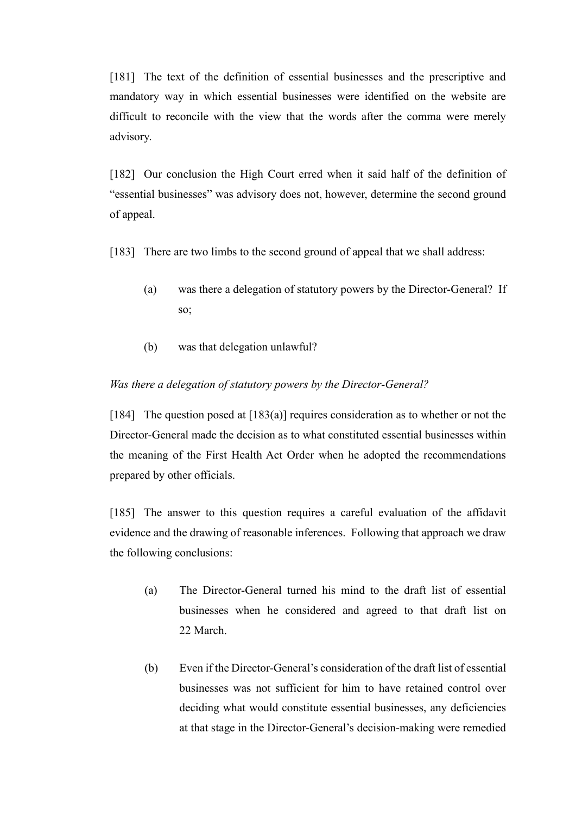[181] The text of the definition of essential businesses and the prescriptive and mandatory way in which essential businesses were identified on the website are difficult to reconcile with the view that the words after the comma were merely advisory.

[182] Our conclusion the High Court erred when it said half of the definition of "essential businesses" was advisory does not, however, determine the second ground of appeal.

[183] There are two limbs to the second ground of appeal that we shall address:

- (a) was there a delegation of statutory powers by the Director-General? If so;
- (b) was that delegation unlawful?

# *Was there a delegation of statutory powers by the Director-General?*

[184] The question posed at [183(a)] requires consideration as to whether or not the Director-General made the decision as to what constituted essential businesses within the meaning of the First Health Act Order when he adopted the recommendations prepared by other officials.

[185] The answer to this question requires a careful evaluation of the affidavit evidence and the drawing of reasonable inferences. Following that approach we draw the following conclusions:

- (a) The Director-General turned his mind to the draft list of essential businesses when he considered and agreed to that draft list on 22 March.
- (b) Even if the Director-General's consideration of the draft list of essential businesses was not sufficient for him to have retained control over deciding what would constitute essential businesses, any deficiencies at that stage in the Director-General's decision-making were remedied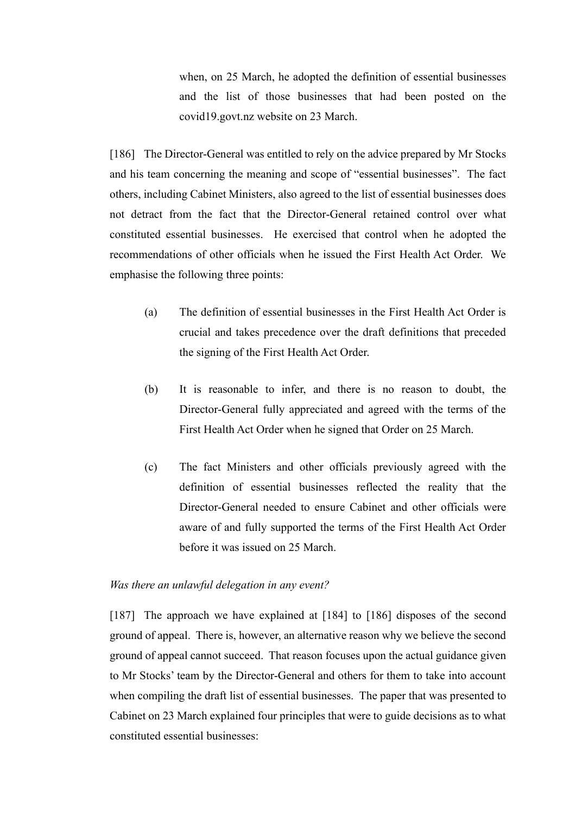when, on 25 March, he adopted the definition of essential businesses and the list of those businesses that had been posted on the covid19.govt.nz website on 23 March.

[186] The Director-General was entitled to rely on the advice prepared by Mr Stocks and his team concerning the meaning and scope of "essential businesses". The fact others, including Cabinet Ministers, also agreed to the list of essential businesses does not detract from the fact that the Director-General retained control over what constituted essential businesses. He exercised that control when he adopted the recommendations of other officials when he issued the First Health Act Order. We emphasise the following three points:

- (a) The definition of essential businesses in the First Health Act Order is crucial and takes precedence over the draft definitions that preceded the signing of the First Health Act Order.
- (b) It is reasonable to infer, and there is no reason to doubt, the Director-General fully appreciated and agreed with the terms of the First Health Act Order when he signed that Order on 25 March.
- (c) The fact Ministers and other officials previously agreed with the definition of essential businesses reflected the reality that the Director-General needed to ensure Cabinet and other officials were aware of and fully supported the terms of the First Health Act Order before it was issued on 25 March.

#### *Was there an unlawful delegation in any event?*

[187] The approach we have explained at [184] to [186] disposes of the second ground of appeal. There is, however, an alternative reason why we believe the second ground of appeal cannot succeed. That reason focuses upon the actual guidance given to Mr Stocks' team by the Director-General and others for them to take into account when compiling the draft list of essential businesses. The paper that was presented to Cabinet on 23 March explained four principles that were to guide decisions as to what constituted essential businesses: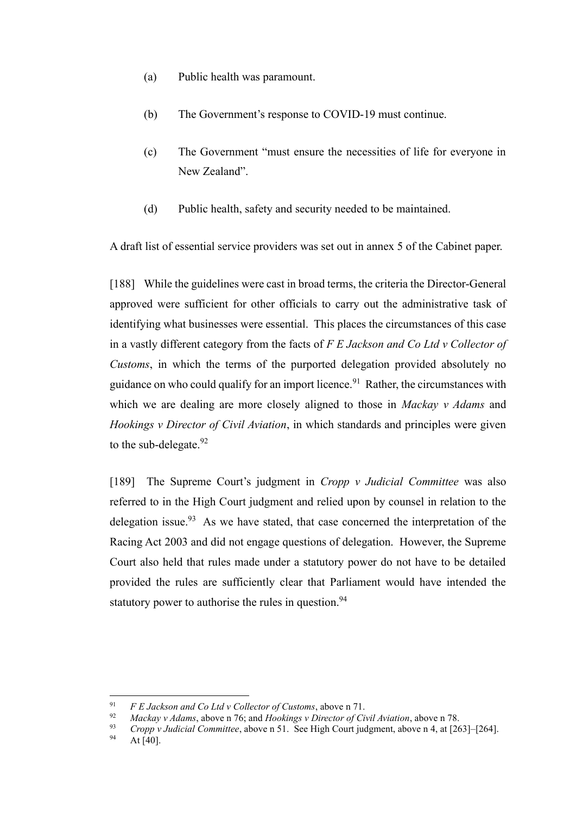- (a) Public health was paramount.
- (b) The Government's response to COVID-19 must continue.
- (c) The Government "must ensure the necessities of life for everyone in New Zealand".
- (d) Public health, safety and security needed to be maintained.

A draft list of essential service providers was set out in annex 5 of the Cabinet paper.

[188] While the guidelines were cast in broad terms, the criteria the Director-General approved were sufficient for other officials to carry out the administrative task of identifying what businesses were essential. This places the circumstances of this case in a vastly different category from the facts of *F E Jackson and Co Ltd v Collector of Customs*, in which the terms of the purported delegation provided absolutely no guidance on who could qualify for an import licence.<sup>91</sup> Rather, the circumstances with which we are dealing are more closely aligned to those in *Mackay v Adams* and *Hookings v Director of Civil Aviation*, in which standards and principles were given to the sub-delegate. $92$ 

[189] The Supreme Court's judgment in *Cropp v Judicial Committee* was also referred to in the High Court judgment and relied upon by counsel in relation to the delegation issue.  $93$  As we have stated, that case concerned the interpretation of the Racing Act 2003 and did not engage questions of delegation. However, the Supreme Court also held that rules made under a statutory power do not have to be detailed provided the rules are sufficiently clear that Parliament would have intended the statutory power to authorise the rules in question.<sup>94</sup>

<sup>91</sup> *F E Jackson and Co Ltd v Collector of Customs*, above n 71.

<sup>92</sup> *Mackay v Adams*, above n 76; and *Hookings v Director of Civil Aviation*, above n 78.

<sup>&</sup>lt;sup>93</sup> *Cropp v Judicial Committee*, above n 51. See High Court judgment, above n 4, at [263]–[264].

At  $[40]$ .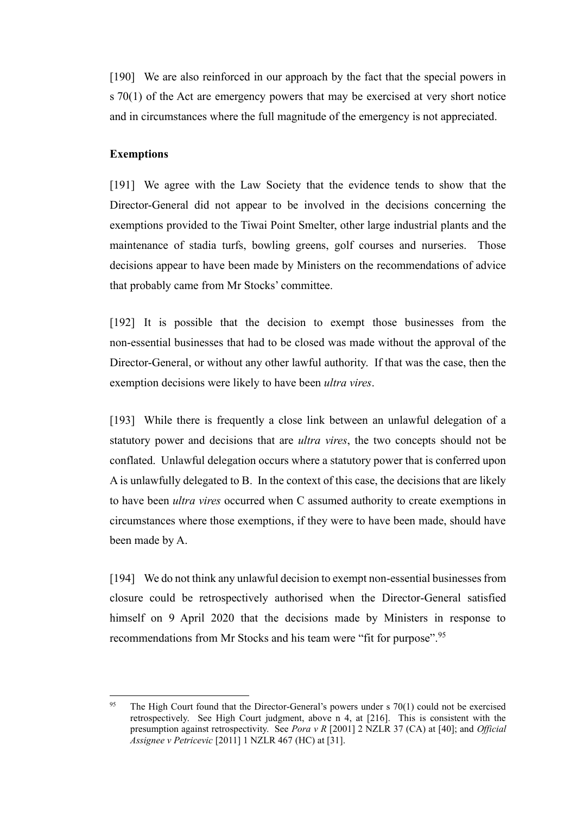[190] We are also reinforced in our approach by the fact that the special powers in s 70(1) of the Act are emergency powers that may be exercised at very short notice and in circumstances where the full magnitude of the emergency is not appreciated.

#### **Exemptions**

[191] We agree with the Law Society that the evidence tends to show that the Director-General did not appear to be involved in the decisions concerning the exemptions provided to the Tiwai Point Smelter, other large industrial plants and the maintenance of stadia turfs, bowling greens, golf courses and nurseries. Those decisions appear to have been made by Ministers on the recommendations of advice that probably came from Mr Stocks' committee.

[192] It is possible that the decision to exempt those businesses from the non-essential businesses that had to be closed was made without the approval of the Director-General, or without any other lawful authority. If that was the case, then the exemption decisions were likely to have been *ultra vires*.

[193] While there is frequently a close link between an unlawful delegation of a statutory power and decisions that are *ultra vires*, the two concepts should not be conflated. Unlawful delegation occurs where a statutory power that is conferred upon A is unlawfully delegated to B. In the context of this case, the decisions that are likely to have been *ultra vires* occurred when C assumed authority to create exemptions in circumstances where those exemptions, if they were to have been made, should have been made by A.

[194] We do not think any unlawful decision to exempt non-essential businesses from closure could be retrospectively authorised when the Director-General satisfied himself on 9 April 2020 that the decisions made by Ministers in response to recommendations from Mr Stocks and his team were "fit for purpose".<sup>95</sup>

<sup>&</sup>lt;sup>95</sup> The High Court found that the Director-General's powers under s 70(1) could not be exercised retrospectively. See High Court judgment, above n 4, at [216]. This is consistent with the presumption against retrospectivity. See *Pora v R* [2001] 2 NZLR 37 (CA) at [40]; and *Official Assignee v Petricevic* [2011] 1 NZLR 467 (HC) at [31].